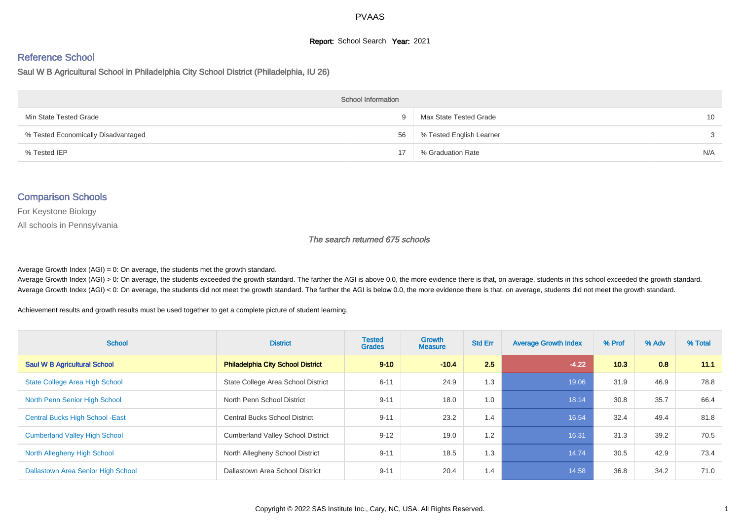## **Report:** School Search **Year:** 2021

# Reference School

Saul W B Agricultural School in Philadelphia City School District (Philadelphia, IU 26)

| <b>School Information</b>           |    |                          |                 |  |  |  |  |  |
|-------------------------------------|----|--------------------------|-----------------|--|--|--|--|--|
| Min State Tested Grade              | Q. | Max State Tested Grade   | 10 <sup>1</sup> |  |  |  |  |  |
| % Tested Economically Disadvantaged | 56 | % Tested English Learner | $\mathcal{S}$   |  |  |  |  |  |
| % Tested IEP                        |    | % Graduation Rate        | N/A             |  |  |  |  |  |

### Comparison Schools

For Keystone Biology

All schools in Pennsylvania

#### The search returned 675 schools

Average Growth Index  $(AGI) = 0$ : On average, the students met the growth standard.

Average Growth Index (AGI) > 0: On average, the students exceeded the growth standard. The farther the AGI is above 0.0, the more evidence there is that, on average, students in this school exceeded the growth standard. Average Growth Index (AGI) < 0: On average, the students did not meet the growth standard. The farther the AGI is below 0.0, the more evidence there is that, on average, students did not meet the growth standard.

Achievement results and growth results must be used together to get a complete picture of student learning.

| <b>School</b>                           | <b>District</b>                          | <b>Tested</b><br><b>Grades</b> | Growth<br><b>Measure</b> | <b>Std Err</b> | <b>Average Growth Index</b> | % Prof | % Adv | % Total |
|-----------------------------------------|------------------------------------------|--------------------------------|--------------------------|----------------|-----------------------------|--------|-------|---------|
| <b>Saul W B Agricultural School</b>     | Philadelphia City School District        | $9 - 10$                       | $-10.4$                  | 2.5            | $-4.22$                     | 10.3   | 0.8   | 11.1    |
| State College Area High School          | State College Area School District       | $6 - 11$                       | 24.9                     | 1.3            | 19.06                       | 31.9   | 46.9  | 78.8    |
| North Penn Senior High School           | North Penn School District               | $9 - 11$                       | 18.0                     | 1.0            | 18.14                       | 30.8   | 35.7  | 66.4    |
| <b>Central Bucks High School - East</b> | <b>Central Bucks School District</b>     | $9 - 11$                       | 23.2                     | 1.4            | 16.54                       | 32.4   | 49.4  | 81.8    |
| <b>Cumberland Valley High School</b>    | <b>Cumberland Valley School District</b> | $9 - 12$                       | 19.0                     | 1.2            | 16.31                       | 31.3   | 39.2  | 70.5    |
| North Allegheny High School             | North Allegheny School District          | $9 - 11$                       | 18.5                     | 1.3            | 14.74                       | 30.5   | 42.9  | 73.4    |
| Dallastown Area Senior High School      | Dallastown Area School District          | $9 - 11$                       | 20.4                     | 1.4            | 14.58                       | 36.8   | 34.2  | 71.0    |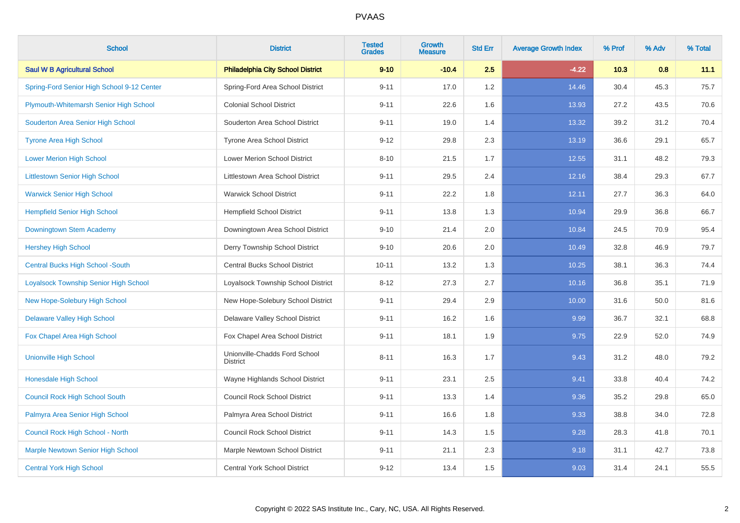| <b>School</b>                              | <b>District</b>                                  | <b>Tested</b><br><b>Grades</b> | <b>Growth</b><br><b>Measure</b> | <b>Std Err</b> | <b>Average Growth Index</b> | % Prof | % Adv | % Total |
|--------------------------------------------|--------------------------------------------------|--------------------------------|---------------------------------|----------------|-----------------------------|--------|-------|---------|
| <b>Saul W B Agricultural School</b>        | <b>Philadelphia City School District</b>         | $9 - 10$                       | $-10.4$                         | 2.5            | $-4.22$                     | 10.3   | 0.8   | 11.1    |
| Spring-Ford Senior High School 9-12 Center | Spring-Ford Area School District                 | $9 - 11$                       | 17.0                            | 1.2            | 14.46                       | 30.4   | 45.3  | 75.7    |
| Plymouth-Whitemarsh Senior High School     | <b>Colonial School District</b>                  | $9 - 11$                       | 22.6                            | 1.6            | 13.93                       | 27.2   | 43.5  | 70.6    |
| Souderton Area Senior High School          | Souderton Area School District                   | $9 - 11$                       | 19.0                            | 1.4            | 13.32                       | 39.2   | 31.2  | 70.4    |
| <b>Tyrone Area High School</b>             | Tyrone Area School District                      | $9 - 12$                       | 29.8                            | 2.3            | 13.19                       | 36.6   | 29.1  | 65.7    |
| <b>Lower Merion High School</b>            | <b>Lower Merion School District</b>              | $8 - 10$                       | 21.5                            | 1.7            | 12.55                       | 31.1   | 48.2  | 79.3    |
| <b>Littlestown Senior High School</b>      | Littlestown Area School District                 | $9 - 11$                       | 29.5                            | 2.4            | 12.16                       | 38.4   | 29.3  | 67.7    |
| <b>Warwick Senior High School</b>          | <b>Warwick School District</b>                   | $9 - 11$                       | 22.2                            | 1.8            | 12.11                       | 27.7   | 36.3  | 64.0    |
| <b>Hempfield Senior High School</b>        | <b>Hempfield School District</b>                 | $9 - 11$                       | 13.8                            | 1.3            | 10.94                       | 29.9   | 36.8  | 66.7    |
| Downingtown Stem Academy                   | Downingtown Area School District                 | $9 - 10$                       | 21.4                            | 2.0            | 10.84                       | 24.5   | 70.9  | 95.4    |
| <b>Hershey High School</b>                 | Derry Township School District                   | $9 - 10$                       | 20.6                            | 2.0            | 10.49                       | 32.8   | 46.9  | 79.7    |
| <b>Central Bucks High School -South</b>    | <b>Central Bucks School District</b>             | $10 - 11$                      | 13.2                            | 1.3            | 10.25                       | 38.1   | 36.3  | 74.4    |
| Loyalsock Township Senior High School      | Loyalsock Township School District               | $8 - 12$                       | 27.3                            | 2.7            | 10.16                       | 36.8   | 35.1  | 71.9    |
| <b>New Hope-Solebury High School</b>       | New Hope-Solebury School District                | $9 - 11$                       | 29.4                            | 2.9            | 10.00                       | 31.6   | 50.0  | 81.6    |
| <b>Delaware Valley High School</b>         | Delaware Valley School District                  | $9 - 11$                       | 16.2                            | 1.6            | 9.99                        | 36.7   | 32.1  | 68.8    |
| Fox Chapel Area High School                | Fox Chapel Area School District                  | $9 - 11$                       | 18.1                            | 1.9            | 9.75                        | 22.9   | 52.0  | 74.9    |
| <b>Unionville High School</b>              | Unionville-Chadds Ford School<br><b>District</b> | $8 - 11$                       | 16.3                            | 1.7            | 9.43                        | 31.2   | 48.0  | 79.2    |
| <b>Honesdale High School</b>               | Wayne Highlands School District                  | $9 - 11$                       | 23.1                            | 2.5            | 9.41                        | 33.8   | 40.4  | 74.2    |
| <b>Council Rock High School South</b>      | <b>Council Rock School District</b>              | $9 - 11$                       | 13.3                            | 1.4            | 9.36                        | 35.2   | 29.8  | 65.0    |
| Palmyra Area Senior High School            | Palmyra Area School District                     | $9 - 11$                       | 16.6                            | 1.8            | 9.33                        | 38.8   | 34.0  | 72.8    |
| Council Rock High School - North           | <b>Council Rock School District</b>              | $9 - 11$                       | 14.3                            | 1.5            | 9.28                        | 28.3   | 41.8  | 70.1    |
| <b>Marple Newtown Senior High School</b>   | Marple Newtown School District                   | $9 - 11$                       | 21.1                            | 2.3            | 9.18                        | 31.1   | 42.7  | 73.8    |
| <b>Central York High School</b>            | Central York School District                     | $9 - 12$                       | 13.4                            | 1.5            | 9.03                        | 31.4   | 24.1  | 55.5    |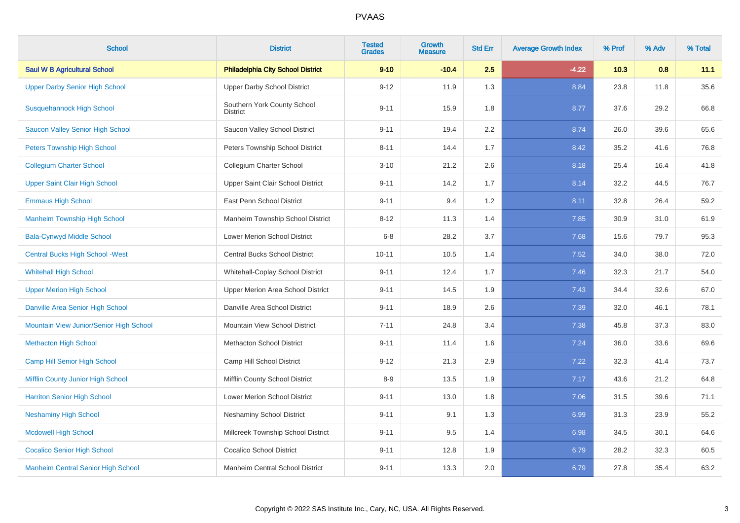| <b>School</b>                             | <b>District</b>                          | <b>Tested</b><br><b>Grades</b> | <b>Growth</b><br><b>Measure</b> | <b>Std Err</b> | <b>Average Growth Index</b> | % Prof | % Adv | % Total |
|-------------------------------------------|------------------------------------------|--------------------------------|---------------------------------|----------------|-----------------------------|--------|-------|---------|
| <b>Saul W B Agricultural School</b>       | <b>Philadelphia City School District</b> | $9 - 10$                       | $-10.4$                         | 2.5            | $-4.22$                     | 10.3   | 0.8   | 11.1    |
| <b>Upper Darby Senior High School</b>     | <b>Upper Darby School District</b>       | $9 - 12$                       | 11.9                            | 1.3            | 8.84                        | 23.8   | 11.8  | 35.6    |
| <b>Susquehannock High School</b>          | Southern York County School<br>District  | $9 - 11$                       | 15.9                            | 1.8            | 8.77                        | 37.6   | 29.2  | 66.8    |
| <b>Saucon Valley Senior High School</b>   | Saucon Valley School District            | $9 - 11$                       | 19.4                            | 2.2            | 8.74                        | 26.0   | 39.6  | 65.6    |
| <b>Peters Township High School</b>        | Peters Township School District          | $8 - 11$                       | 14.4                            | 1.7            | 8.42                        | 35.2   | 41.6  | 76.8    |
| <b>Collegium Charter School</b>           | Collegium Charter School                 | $3 - 10$                       | 21.2                            | 2.6            | 8.18                        | 25.4   | 16.4  | 41.8    |
| <b>Upper Saint Clair High School</b>      | Upper Saint Clair School District        | $9 - 11$                       | 14.2                            | 1.7            | 8.14                        | 32.2   | 44.5  | 76.7    |
| <b>Emmaus High School</b>                 | East Penn School District                | $9 - 11$                       | 9.4                             | 1.2            | 8.11                        | 32.8   | 26.4  | 59.2    |
| <b>Manheim Township High School</b>       | Manheim Township School District         | $8 - 12$                       | 11.3                            | 1.4            | 7.85                        | 30.9   | 31.0  | 61.9    |
| <b>Bala-Cynwyd Middle School</b>          | Lower Merion School District             | $6 - 8$                        | 28.2                            | 3.7            | 7.68                        | 15.6   | 79.7  | 95.3    |
| <b>Central Bucks High School - West</b>   | Central Bucks School District            | $10 - 11$                      | 10.5                            | 1.4            | 7.52                        | 34.0   | 38.0  | 72.0    |
| <b>Whitehall High School</b>              | Whitehall-Coplay School District         | $9 - 11$                       | 12.4                            | 1.7            | 7.46                        | 32.3   | 21.7  | 54.0    |
| <b>Upper Merion High School</b>           | Upper Merion Area School District        | $9 - 11$                       | 14.5                            | 1.9            | 7.43                        | 34.4   | 32.6  | 67.0    |
| Danville Area Senior High School          | Danville Area School District            | $9 - 11$                       | 18.9                            | 2.6            | 7.39                        | 32.0   | 46.1  | 78.1    |
| Mountain View Junior/Senior High School   | Mountain View School District            | $7 - 11$                       | 24.8                            | 3.4            | 7.38                        | 45.8   | 37.3  | 83.0    |
| <b>Methacton High School</b>              | <b>Methacton School District</b>         | $9 - 11$                       | 11.4                            | 1.6            | 7.24                        | 36.0   | 33.6  | 69.6    |
| Camp Hill Senior High School              | Camp Hill School District                | $9 - 12$                       | 21.3                            | 2.9            | 7.22                        | 32.3   | 41.4  | 73.7    |
| Mifflin County Junior High School         | Mifflin County School District           | $8 - 9$                        | 13.5                            | 1.9            | 7.17                        | 43.6   | 21.2  | 64.8    |
| <b>Harriton Senior High School</b>        | Lower Merion School District             | $9 - 11$                       | 13.0                            | 1.8            | 7.06                        | 31.5   | 39.6  | 71.1    |
| <b>Neshaminy High School</b>              | <b>Neshaminy School District</b>         | $9 - 11$                       | 9.1                             | 1.3            | 6.99                        | 31.3   | 23.9  | 55.2    |
| <b>Mcdowell High School</b>               | Millcreek Township School District       | $9 - 11$                       | 9.5                             | 1.4            | 6.98                        | 34.5   | 30.1  | 64.6    |
| <b>Cocalico Senior High School</b>        | <b>Cocalico School District</b>          | $9 - 11$                       | 12.8                            | 1.9            | 6.79                        | 28.2   | 32.3  | 60.5    |
| <b>Manheim Central Senior High School</b> | Manheim Central School District          | $9 - 11$                       | 13.3                            | 2.0            | 6.79                        | 27.8   | 35.4  | 63.2    |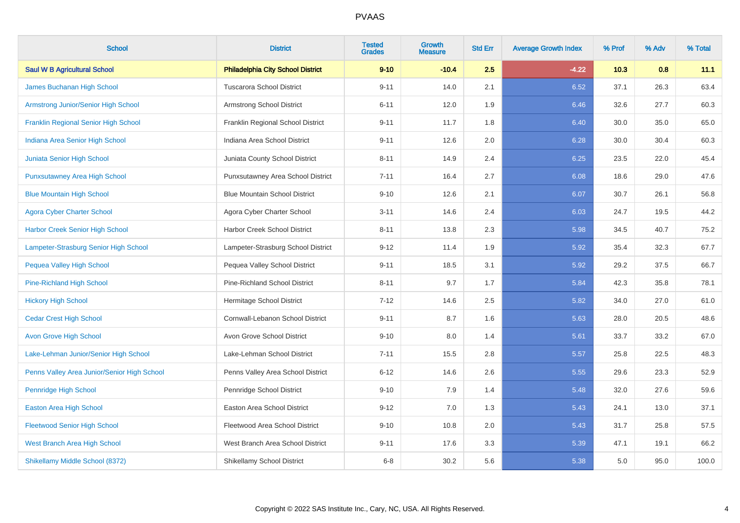| <b>School</b>                               | <b>District</b>                          | <b>Tested</b><br><b>Grades</b> | <b>Growth</b><br><b>Measure</b> | <b>Std Err</b> | <b>Average Growth Index</b> | % Prof | % Adv | % Total |
|---------------------------------------------|------------------------------------------|--------------------------------|---------------------------------|----------------|-----------------------------|--------|-------|---------|
| <b>Saul W B Agricultural School</b>         | <b>Philadelphia City School District</b> | $9 - 10$                       | $-10.4$                         | 2.5            | $-4.22$                     | 10.3   | 0.8   | 11.1    |
| James Buchanan High School                  | <b>Tuscarora School District</b>         | $9 - 11$                       | 14.0                            | 2.1            | 6.52                        | 37.1   | 26.3  | 63.4    |
| Armstrong Junior/Senior High School         | Armstrong School District                | $6 - 11$                       | 12.0                            | 1.9            | 6.46                        | 32.6   | 27.7  | 60.3    |
| <b>Franklin Regional Senior High School</b> | Franklin Regional School District        | $9 - 11$                       | 11.7                            | 1.8            | 6.40                        | 30.0   | 35.0  | 65.0    |
| Indiana Area Senior High School             | Indiana Area School District             | $9 - 11$                       | 12.6                            | 2.0            | 6.28                        | 30.0   | 30.4  | 60.3    |
| Juniata Senior High School                  | Juniata County School District           | $8 - 11$                       | 14.9                            | 2.4            | 6.25                        | 23.5   | 22.0  | 45.4    |
| <b>Punxsutawney Area High School</b>        | Punxsutawney Area School District        | $7 - 11$                       | 16.4                            | 2.7            | 6.08                        | 18.6   | 29.0  | 47.6    |
| <b>Blue Mountain High School</b>            | <b>Blue Mountain School District</b>     | $9 - 10$                       | 12.6                            | 2.1            | 6.07                        | 30.7   | 26.1  | 56.8    |
| <b>Agora Cyber Charter School</b>           | Agora Cyber Charter School               | $3 - 11$                       | 14.6                            | 2.4            | 6.03                        | 24.7   | 19.5  | 44.2    |
| <b>Harbor Creek Senior High School</b>      | Harbor Creek School District             | $8 - 11$                       | 13.8                            | 2.3            | 5.98                        | 34.5   | 40.7  | 75.2    |
| Lampeter-Strasburg Senior High School       | Lampeter-Strasburg School District       | $9 - 12$                       | 11.4                            | 1.9            | 5.92                        | 35.4   | 32.3  | 67.7    |
| Pequea Valley High School                   | Pequea Valley School District            | $9 - 11$                       | 18.5                            | 3.1            | 5.92                        | 29.2   | 37.5  | 66.7    |
| Pine-Richland High School                   | <b>Pine-Richland School District</b>     | $8 - 11$                       | 9.7                             | 1.7            | 5.84                        | 42.3   | 35.8  | 78.1    |
| <b>Hickory High School</b>                  | Hermitage School District                | $7 - 12$                       | 14.6                            | 2.5            | 5.82                        | 34.0   | 27.0  | 61.0    |
| <b>Cedar Crest High School</b>              | Cornwall-Lebanon School District         | $9 - 11$                       | 8.7                             | 1.6            | 5.63                        | 28.0   | 20.5  | 48.6    |
| <b>Avon Grove High School</b>               | Avon Grove School District               | $9 - 10$                       | 8.0                             | 1.4            | 5.61                        | 33.7   | 33.2  | 67.0    |
| Lake-Lehman Junior/Senior High School       | Lake-Lehman School District              | $7 - 11$                       | 15.5                            | 2.8            | 5.57                        | 25.8   | 22.5  | 48.3    |
| Penns Valley Area Junior/Senior High School | Penns Valley Area School District        | $6 - 12$                       | 14.6                            | 2.6            | 5.55                        | 29.6   | 23.3  | 52.9    |
| Pennridge High School                       | Pennridge School District                | $9 - 10$                       | 7.9                             | 1.4            | 5.48                        | 32.0   | 27.6  | 59.6    |
| <b>Easton Area High School</b>              | <b>Easton Area School District</b>       | $9 - 12$                       | 7.0                             | 1.3            | 5.43                        | 24.1   | 13.0  | 37.1    |
| <b>Fleetwood Senior High School</b>         | Fleetwood Area School District           | $9 - 10$                       | 10.8                            | 2.0            | 5.43                        | 31.7   | 25.8  | 57.5    |
| West Branch Area High School                | West Branch Area School District         | $9 - 11$                       | 17.6                            | 3.3            | 5.39                        | 47.1   | 19.1  | 66.2    |
| Shikellamy Middle School (8372)             | Shikellamy School District               | $6 - 8$                        | 30.2                            | 5.6            | 5.38                        | 5.0    | 95.0  | 100.0   |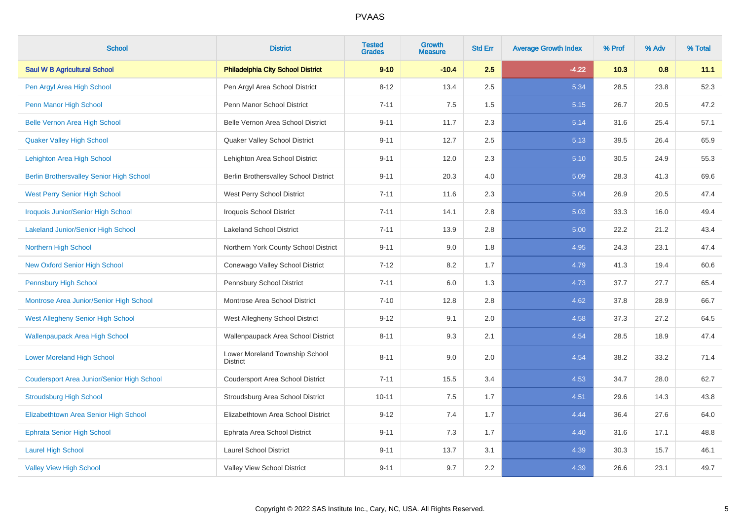| <b>School</b>                                     | <b>District</b>                                   | <b>Tested</b><br><b>Grades</b> | Growth<br><b>Measure</b> | <b>Std Err</b> | <b>Average Growth Index</b> | % Prof | % Adv | % Total |
|---------------------------------------------------|---------------------------------------------------|--------------------------------|--------------------------|----------------|-----------------------------|--------|-------|---------|
| <b>Saul W B Agricultural School</b>               | <b>Philadelphia City School District</b>          | $9 - 10$                       | $-10.4$                  | 2.5            | $-4.22$                     | 10.3   | 0.8   | 11.1    |
| Pen Argyl Area High School                        | Pen Argyl Area School District                    | $8 - 12$                       | 13.4                     | 2.5            | 5.34                        | 28.5   | 23.8  | 52.3    |
| Penn Manor High School                            | Penn Manor School District                        | $7 - 11$                       | 7.5                      | 1.5            | 5.15                        | 26.7   | 20.5  | 47.2    |
| <b>Belle Vernon Area High School</b>              | Belle Vernon Area School District                 | $9 - 11$                       | 11.7                     | 2.3            | 5.14                        | 31.6   | 25.4  | 57.1    |
| <b>Quaker Valley High School</b>                  | Quaker Valley School District                     | $9 - 11$                       | 12.7                     | 2.5            | 5.13                        | 39.5   | 26.4  | 65.9    |
| Lehighton Area High School                        | Lehighton Area School District                    | $9 - 11$                       | 12.0                     | 2.3            | 5.10                        | 30.5   | 24.9  | 55.3    |
| <b>Berlin Brothersvalley Senior High School</b>   | Berlin Brothersvalley School District             | $9 - 11$                       | 20.3                     | 4.0            | 5.09                        | 28.3   | 41.3  | 69.6    |
| <b>West Perry Senior High School</b>              | West Perry School District                        | $7 - 11$                       | 11.6                     | 2.3            | 5.04                        | 26.9   | 20.5  | 47.4    |
| <b>Iroquois Junior/Senior High School</b>         | Iroquois School District                          | $7 - 11$                       | 14.1                     | 2.8            | 5.03                        | 33.3   | 16.0  | 49.4    |
| <b>Lakeland Junior/Senior High School</b>         | <b>Lakeland School District</b>                   | $7 - 11$                       | 13.9                     | 2.8            | 5.00                        | 22.2   | 21.2  | 43.4    |
| Northern High School                              | Northern York County School District              | $9 - 11$                       | 9.0                      | 1.8            | 4.95                        | 24.3   | 23.1  | 47.4    |
| <b>New Oxford Senior High School</b>              | Conewago Valley School District                   | $7 - 12$                       | 8.2                      | 1.7            | 4.79                        | 41.3   | 19.4  | 60.6    |
| <b>Pennsbury High School</b>                      | Pennsbury School District                         | $7 - 11$                       | 6.0                      | 1.3            | 4.73                        | 37.7   | 27.7  | 65.4    |
| Montrose Area Junior/Senior High School           | Montrose Area School District                     | $7 - 10$                       | 12.8                     | 2.8            | 4.62                        | 37.8   | 28.9  | 66.7    |
| West Allegheny Senior High School                 | West Allegheny School District                    | $9 - 12$                       | 9.1                      | 2.0            | 4.58                        | 37.3   | 27.2  | 64.5    |
| <b>Wallenpaupack Area High School</b>             | Wallenpaupack Area School District                | $8 - 11$                       | 9.3                      | 2.1            | 4.54                        | 28.5   | 18.9  | 47.4    |
| <b>Lower Moreland High School</b>                 | Lower Moreland Township School<br><b>District</b> | $8 - 11$                       | 9.0                      | 2.0            | 4.54                        | 38.2   | 33.2  | 71.4    |
| <b>Coudersport Area Junior/Senior High School</b> | Coudersport Area School District                  | $7 - 11$                       | 15.5                     | 3.4            | 4.53                        | 34.7   | 28.0  | 62.7    |
| <b>Stroudsburg High School</b>                    | Stroudsburg Area School District                  | $10 - 11$                      | 7.5                      | 1.7            | 4.51                        | 29.6   | 14.3  | 43.8    |
| Elizabethtown Area Senior High School             | Elizabethtown Area School District                | $9 - 12$                       | 7.4                      | 1.7            | 4.44                        | 36.4   | 27.6  | 64.0    |
| <b>Ephrata Senior High School</b>                 | Ephrata Area School District                      | $9 - 11$                       | 7.3                      | 1.7            | 4.40                        | 31.6   | 17.1  | 48.8    |
| <b>Laurel High School</b>                         | <b>Laurel School District</b>                     | $9 - 11$                       | 13.7                     | 3.1            | 4.39                        | 30.3   | 15.7  | 46.1    |
| <b>Valley View High School</b>                    | Valley View School District                       | $9 - 11$                       | 9.7                      | 2.2            | 4.39                        | 26.6   | 23.1  | 49.7    |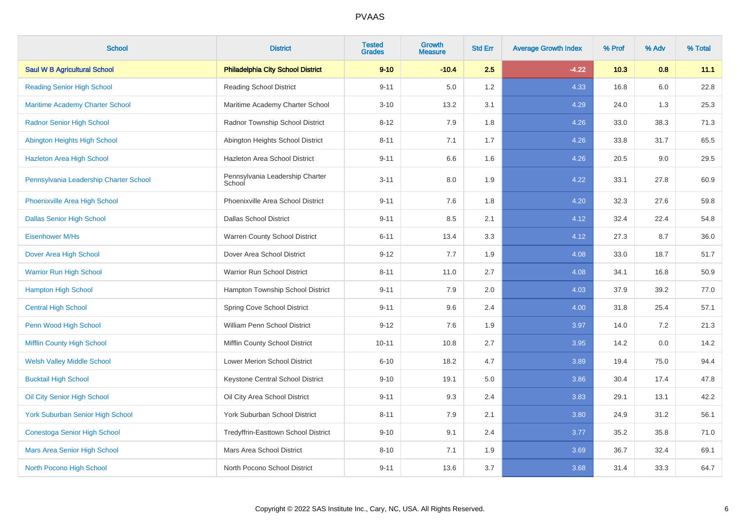| <b>School</b>                           | <b>District</b>                           | <b>Tested</b><br><b>Grades</b> | <b>Growth</b><br><b>Measure</b> | <b>Std Err</b> | <b>Average Growth Index</b> | % Prof | % Adv | % Total |
|-----------------------------------------|-------------------------------------------|--------------------------------|---------------------------------|----------------|-----------------------------|--------|-------|---------|
| <b>Saul W B Agricultural School</b>     | <b>Philadelphia City School District</b>  | $9 - 10$                       | $-10.4$                         | 2.5            | $-4.22$                     | 10.3   | 0.8   | 11.1    |
| <b>Reading Senior High School</b>       | <b>Reading School District</b>            | $9 - 11$                       | 5.0                             | 1.2            | 4.33                        | 16.8   | 6.0   | 22.8    |
| <b>Maritime Academy Charter School</b>  | Maritime Academy Charter School           | $3 - 10$                       | 13.2                            | 3.1            | 4.29                        | 24.0   | 1.3   | 25.3    |
| <b>Radnor Senior High School</b>        | Radnor Township School District           | $8 - 12$                       | 7.9                             | 1.8            | 4.26                        | 33.0   | 38.3  | 71.3    |
| Abington Heights High School            | Abington Heights School District          | $8 - 11$                       | 7.1                             | 1.7            | 4.26                        | 33.8   | 31.7  | 65.5    |
| <b>Hazleton Area High School</b>        | Hazleton Area School District             | $9 - 11$                       | 6.6                             | 1.6            | 4.26                        | 20.5   | 9.0   | 29.5    |
| Pennsylvania Leadership Charter School  | Pennsylvania Leadership Charter<br>School | $3 - 11$                       | 8.0                             | 1.9            | 4.22                        | 33.1   | 27.8  | 60.9    |
| Phoenixville Area High School           | Phoenixville Area School District         | $9 - 11$                       | 7.6                             | 1.8            | 4.20                        | 32.3   | 27.6  | 59.8    |
| <b>Dallas Senior High School</b>        | <b>Dallas School District</b>             | $9 - 11$                       | 8.5                             | 2.1            | 4.12                        | 32.4   | 22.4  | 54.8    |
| Eisenhower M/Hs                         | Warren County School District             | $6 - 11$                       | 13.4                            | 3.3            | 4.12                        | 27.3   | 8.7   | 36.0    |
| Dover Area High School                  | Dover Area School District                | $9 - 12$                       | 7.7                             | 1.9            | 4.08                        | 33.0   | 18.7  | 51.7    |
| <b>Warrior Run High School</b>          | Warrior Run School District               | $8 - 11$                       | 11.0                            | 2.7            | 4.08                        | 34.1   | 16.8  | 50.9    |
| <b>Hampton High School</b>              | Hampton Township School District          | $9 - 11$                       | 7.9                             | 2.0            | 4.03                        | 37.9   | 39.2  | 77.0    |
| <b>Central High School</b>              | Spring Cove School District               | $9 - 11$                       | 9.6                             | 2.4            | 4.00                        | 31.8   | 25.4  | 57.1    |
| Penn Wood High School                   | William Penn School District              | $9 - 12$                       | 7.6                             | 1.9            | 3.97                        | 14.0   | 7.2   | 21.3    |
| Mifflin County High School              | Mifflin County School District            | $10 - 11$                      | 10.8                            | 2.7            | 3.95                        | 14.2   | 0.0   | 14.2    |
| <b>Welsh Valley Middle School</b>       | Lower Merion School District              | $6 - 10$                       | 18.2                            | 4.7            | 3.89                        | 19.4   | 75.0  | 94.4    |
| <b>Bucktail High School</b>             | Keystone Central School District          | $9 - 10$                       | 19.1                            | 5.0            | 3.86                        | 30.4   | 17.4  | 47.8    |
| Oil City Senior High School             | Oil City Area School District             | $9 - 11$                       | 9.3                             | 2.4            | 3.83                        | 29.1   | 13.1  | 42.2    |
| <b>York Suburban Senior High School</b> | York Suburban School District             | $8 - 11$                       | 7.9                             | 2.1            | 3.80                        | 24.9   | 31.2  | 56.1    |
| <b>Conestoga Senior High School</b>     | Tredyffrin-Easttown School District       | $9 - 10$                       | 9.1                             | 2.4            | 3.77                        | 35.2   | 35.8  | 71.0    |
| Mars Area Senior High School            | Mars Area School District                 | $8 - 10$                       | 7.1                             | 1.9            | 3.69                        | 36.7   | 32.4  | 69.1    |
| North Pocono High School                | North Pocono School District              | $9 - 11$                       | 13.6                            | 3.7            | 3.68                        | 31.4   | 33.3  | 64.7    |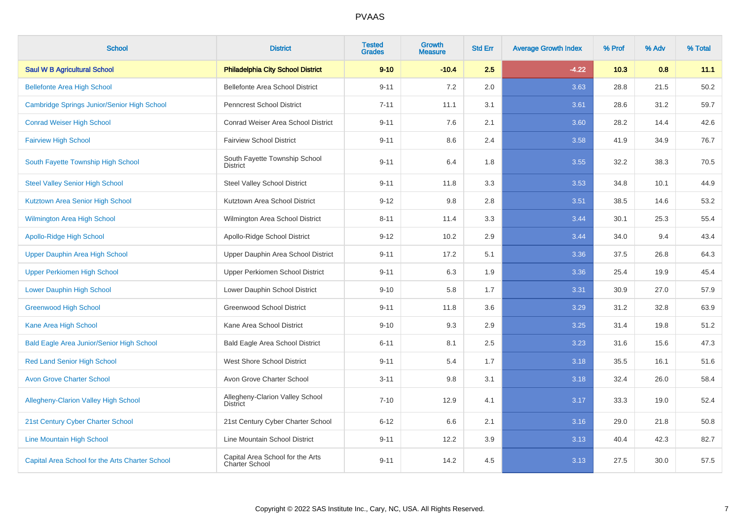| <b>School</b>                                    | <b>District</b>                                    | <b>Tested</b><br><b>Grades</b> | <b>Growth</b><br><b>Measure</b> | <b>Std Err</b> | <b>Average Growth Index</b> | % Prof | % Adv | % Total |
|--------------------------------------------------|----------------------------------------------------|--------------------------------|---------------------------------|----------------|-----------------------------|--------|-------|---------|
| <b>Saul W B Agricultural School</b>              | <b>Philadelphia City School District</b>           | $9 - 10$                       | $-10.4$                         | 2.5            | $-4.22$                     | 10.3   | 0.8   | 11.1    |
| <b>Bellefonte Area High School</b>               | Bellefonte Area School District                    | $9 - 11$                       | 7.2                             | 2.0            | 3.63                        | 28.8   | 21.5  | 50.2    |
| Cambridge Springs Junior/Senior High School      | <b>Penncrest School District</b>                   | $7 - 11$                       | 11.1                            | 3.1            | 3.61                        | 28.6   | 31.2  | 59.7    |
| <b>Conrad Weiser High School</b>                 | <b>Conrad Weiser Area School District</b>          | $9 - 11$                       | 7.6                             | 2.1            | 3.60                        | 28.2   | 14.4  | 42.6    |
| <b>Fairview High School</b>                      | <b>Fairview School District</b>                    | $9 - 11$                       | 8.6                             | 2.4            | 3.58                        | 41.9   | 34.9  | 76.7    |
| South Fayette Township High School               | South Fayette Township School<br>District          | $9 - 11$                       | 6.4                             | 1.8            | 3.55                        | 32.2   | 38.3  | 70.5    |
| <b>Steel Valley Senior High School</b>           | <b>Steel Valley School District</b>                | $9 - 11$                       | 11.8                            | 3.3            | 3.53                        | 34.8   | 10.1  | 44.9    |
| Kutztown Area Senior High School                 | Kutztown Area School District                      | $9 - 12$                       | 9.8                             | 2.8            | 3.51                        | 38.5   | 14.6  | 53.2    |
| <b>Wilmington Area High School</b>               | Wilmington Area School District                    | $8 - 11$                       | 11.4                            | 3.3            | 3.44                        | 30.1   | 25.3  | 55.4    |
| <b>Apollo-Ridge High School</b>                  | Apollo-Ridge School District                       | $9 - 12$                       | 10.2                            | 2.9            | 3.44                        | 34.0   | 9.4   | 43.4    |
| Upper Dauphin Area High School                   | Upper Dauphin Area School District                 | $9 - 11$                       | 17.2                            | 5.1            | 3.36                        | 37.5   | 26.8  | 64.3    |
| <b>Upper Perkiomen High School</b>               | Upper Perkiomen School District                    | $9 - 11$                       | 6.3                             | 1.9            | 3.36                        | 25.4   | 19.9  | 45.4    |
| <b>Lower Dauphin High School</b>                 | Lower Dauphin School District                      | $9 - 10$                       | 5.8                             | 1.7            | 3.31                        | 30.9   | 27.0  | 57.9    |
| <b>Greenwood High School</b>                     | <b>Greenwood School District</b>                   | $9 - 11$                       | 11.8                            | 3.6            | 3.29                        | 31.2   | 32.8  | 63.9    |
| Kane Area High School                            | Kane Area School District                          | $9 - 10$                       | 9.3                             | 2.9            | 3.25                        | 31.4   | 19.8  | 51.2    |
| <b>Bald Eagle Area Junior/Senior High School</b> | <b>Bald Eagle Area School District</b>             | $6 - 11$                       | 8.1                             | 2.5            | 3.23                        | 31.6   | 15.6  | 47.3    |
| <b>Red Land Senior High School</b>               | <b>West Shore School District</b>                  | $9 - 11$                       | 5.4                             | 1.7            | 3.18                        | 35.5   | 16.1  | 51.6    |
| <b>Avon Grove Charter School</b>                 | Avon Grove Charter School                          | $3 - 11$                       | 9.8                             | 3.1            | 3.18                        | 32.4   | 26.0  | 58.4    |
| <b>Allegheny-Clarion Valley High School</b>      | Allegheny-Clarion Valley School<br><b>District</b> | $7 - 10$                       | 12.9                            | 4.1            | 3.17                        | 33.3   | 19.0  | 52.4    |
| 21st Century Cyber Charter School                | 21st Century Cyber Charter School                  | $6 - 12$                       | 6.6                             | 2.1            | 3.16                        | 29.0   | 21.8  | 50.8    |
| <b>Line Mountain High School</b>                 | Line Mountain School District                      | $9 - 11$                       | 12.2                            | 3.9            | 3.13                        | 40.4   | 42.3  | 82.7    |
| Capital Area School for the Arts Charter School  | Capital Area School for the Arts<br>Charter School | $9 - 11$                       | 14.2                            | 4.5            | 3.13                        | 27.5   | 30.0  | 57.5    |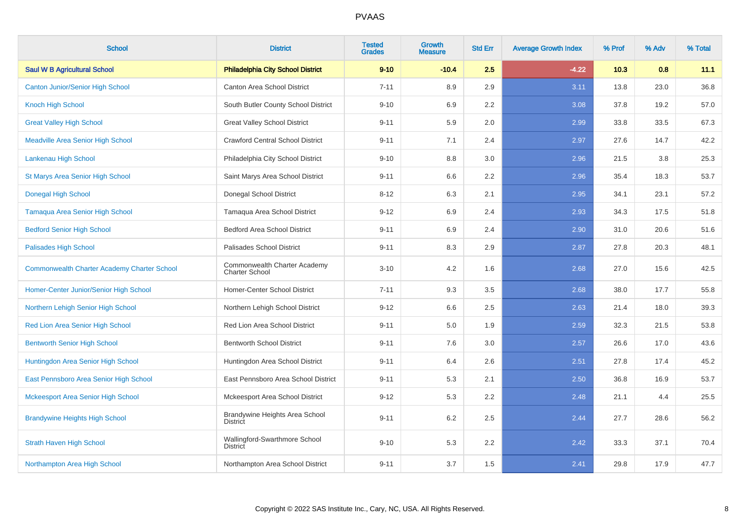| <b>School</b>                                      | <b>District</b>                                       | <b>Tested</b><br><b>Grades</b> | <b>Growth</b><br><b>Measure</b> | <b>Std Err</b> | <b>Average Growth Index</b> | % Prof | % Adv | % Total |
|----------------------------------------------------|-------------------------------------------------------|--------------------------------|---------------------------------|----------------|-----------------------------|--------|-------|---------|
| <b>Saul W B Agricultural School</b>                | <b>Philadelphia City School District</b>              | $9 - 10$                       | $-10.4$                         | 2.5            | $-4.22$                     | 10.3   | 0.8   | 11.1    |
| <b>Canton Junior/Senior High School</b>            | Canton Area School District                           | $7 - 11$                       | 8.9                             | 2.9            | 3.11                        | 13.8   | 23.0  | 36.8    |
| <b>Knoch High School</b>                           | South Butler County School District                   | $9 - 10$                       | 6.9                             | 2.2            | 3.08                        | 37.8   | 19.2  | 57.0    |
| <b>Great Valley High School</b>                    | <b>Great Valley School District</b>                   | $9 - 11$                       | 5.9                             | 2.0            | 2.99                        | 33.8   | 33.5  | 67.3    |
| <b>Meadville Area Senior High School</b>           | <b>Crawford Central School District</b>               | $9 - 11$                       | 7.1                             | 2.4            | 2.97                        | 27.6   | 14.7  | 42.2    |
| Lankenau High School                               | Philadelphia City School District                     | $9 - 10$                       | 8.8                             | 3.0            | 2.96                        | 21.5   | 3.8   | 25.3    |
| St Marys Area Senior High School                   | Saint Marys Area School District                      | $9 - 11$                       | 6.6                             | 2.2            | 2.96                        | 35.4   | 18.3  | 53.7    |
| <b>Donegal High School</b>                         | Donegal School District                               | $8 - 12$                       | 6.3                             | 2.1            | 2.95                        | 34.1   | 23.1  | 57.2    |
| <b>Tamaqua Area Senior High School</b>             | Tamaqua Area School District                          | $9 - 12$                       | 6.9                             | 2.4            | 2.93                        | 34.3   | 17.5  | 51.8    |
| <b>Bedford Senior High School</b>                  | <b>Bedford Area School District</b>                   | $9 - 11$                       | 6.9                             | 2.4            | 2.90                        | 31.0   | 20.6  | 51.6    |
| <b>Palisades High School</b>                       | Palisades School District                             | $9 - 11$                       | 8.3                             | 2.9            | 2.87                        | 27.8   | 20.3  | 48.1    |
| <b>Commonwealth Charter Academy Charter School</b> | Commonwealth Charter Academy<br><b>Charter School</b> | $3 - 10$                       | 4.2                             | 1.6            | 2.68                        | 27.0   | 15.6  | 42.5    |
| Homer-Center Junior/Senior High School             | Homer-Center School District                          | $7 - 11$                       | 9.3                             | 3.5            | 2.68                        | 38.0   | 17.7  | 55.8    |
| Northern Lehigh Senior High School                 | Northern Lehigh School District                       | $9 - 12$                       | 6.6                             | 2.5            | 2.63                        | 21.4   | 18.0  | 39.3    |
| Red Lion Area Senior High School                   | Red Lion Area School District                         | $9 - 11$                       | 5.0                             | 1.9            | 2.59                        | 32.3   | 21.5  | 53.8    |
| <b>Bentworth Senior High School</b>                | <b>Bentworth School District</b>                      | $9 - 11$                       | 7.6                             | 3.0            | 2.57                        | 26.6   | 17.0  | 43.6    |
| Huntingdon Area Senior High School                 | Huntingdon Area School District                       | $9 - 11$                       | 6.4                             | 2.6            | 2.51                        | 27.8   | 17.4  | 45.2    |
| East Pennsboro Area Senior High School             | East Pennsboro Area School District                   | $9 - 11$                       | 5.3                             | 2.1            | 2.50                        | 36.8   | 16.9  | 53.7    |
| <b>Mckeesport Area Senior High School</b>          | Mckeesport Area School District                       | $9 - 12$                       | 5.3                             | 2.2            | 2.48                        | 21.1   | 4.4   | 25.5    |
| <b>Brandywine Heights High School</b>              | Brandywine Heights Area School<br><b>District</b>     | $9 - 11$                       | 6.2                             | 2.5            | 2.44                        | 27.7   | 28.6  | 56.2    |
| <b>Strath Haven High School</b>                    | Wallingford-Swarthmore School<br><b>District</b>      | $9 - 10$                       | 5.3                             | 2.2            | 2.42                        | 33.3   | 37.1  | 70.4    |
| Northampton Area High School                       | Northampton Area School District                      | $9 - 11$                       | 3.7                             | 1.5            | 2.41                        | 29.8   | 17.9  | 47.7    |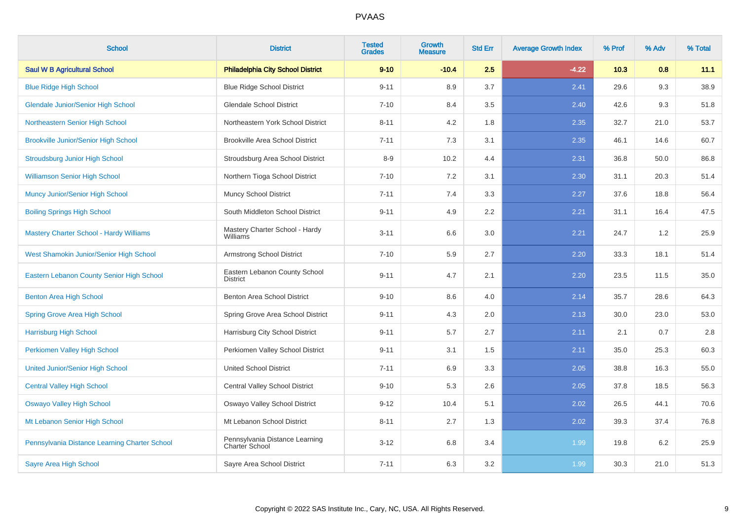| <b>School</b>                                  | <b>District</b>                                  | <b>Tested</b><br><b>Grades</b> | <b>Growth</b><br><b>Measure</b> | <b>Std Err</b> | <b>Average Growth Index</b> | % Prof | % Adv | % Total |
|------------------------------------------------|--------------------------------------------------|--------------------------------|---------------------------------|----------------|-----------------------------|--------|-------|---------|
| <b>Saul W B Agricultural School</b>            | <b>Philadelphia City School District</b>         | $9 - 10$                       | $-10.4$                         | 2.5            | $-4.22$                     | 10.3   | 0.8   | 11.1    |
| <b>Blue Ridge High School</b>                  | <b>Blue Ridge School District</b>                | $9 - 11$                       | 8.9                             | 3.7            | 2.41                        | 29.6   | 9.3   | 38.9    |
| <b>Glendale Junior/Senior High School</b>      | <b>Glendale School District</b>                  | $7 - 10$                       | 8.4                             | 3.5            | 2.40                        | 42.6   | 9.3   | 51.8    |
| Northeastern Senior High School                | Northeastern York School District                | $8 - 11$                       | 4.2                             | 1.8            | 2.35                        | 32.7   | 21.0  | 53.7    |
| <b>Brookville Junior/Senior High School</b>    | <b>Brookville Area School District</b>           | $7 - 11$                       | 7.3                             | 3.1            | 2.35                        | 46.1   | 14.6  | 60.7    |
| <b>Stroudsburg Junior High School</b>          | Stroudsburg Area School District                 | $8 - 9$                        | 10.2                            | 4.4            | 2.31                        | 36.8   | 50.0  | 86.8    |
| <b>Williamson Senior High School</b>           | Northern Tioga School District                   | $7 - 10$                       | 7.2                             | 3.1            | 2.30                        | 31.1   | 20.3  | 51.4    |
| Muncy Junior/Senior High School                | Muncy School District                            | $7 - 11$                       | 7.4                             | 3.3            | 2.27                        | 37.6   | 18.8  | 56.4    |
| <b>Boiling Springs High School</b>             | South Middleton School District                  | $9 - 11$                       | 4.9                             | 2.2            | 2.21                        | 31.1   | 16.4  | 47.5    |
| <b>Mastery Charter School - Hardy Williams</b> | Mastery Charter School - Hardy<br>Williams       | $3 - 11$                       | 6.6                             | 3.0            | 2.21                        | 24.7   | 1.2   | 25.9    |
| West Shamokin Junior/Senior High School        | Armstrong School District                        | $7 - 10$                       | 5.9                             | 2.7            | 2.20                        | 33.3   | 18.1  | 51.4    |
| Eastern Lebanon County Senior High School      | Eastern Lebanon County School<br><b>District</b> | $9 - 11$                       | 4.7                             | 2.1            | 2.20                        | 23.5   | 11.5  | 35.0    |
| Benton Area High School                        | Benton Area School District                      | $9 - 10$                       | 8.6                             | 4.0            | 2.14                        | 35.7   | 28.6  | 64.3    |
| Spring Grove Area High School                  | Spring Grove Area School District                | $9 - 11$                       | 4.3                             | 2.0            | 2.13                        | 30.0   | 23.0  | 53.0    |
| <b>Harrisburg High School</b>                  | Harrisburg City School District                  | $9 - 11$                       | 5.7                             | 2.7            | 2.11                        | 2.1    | 0.7   | 2.8     |
| Perkiomen Valley High School                   | Perkiomen Valley School District                 | $9 - 11$                       | 3.1                             | 1.5            | 2.11                        | 35.0   | 25.3  | 60.3    |
| <b>United Junior/Senior High School</b>        | <b>United School District</b>                    | $7 - 11$                       | 6.9                             | 3.3            | 2.05                        | 38.8   | 16.3  | 55.0    |
| <b>Central Valley High School</b>              | <b>Central Valley School District</b>            | $9 - 10$                       | 5.3                             | 2.6            | 2.05                        | 37.8   | 18.5  | 56.3    |
| <b>Oswayo Valley High School</b>               | Oswayo Valley School District                    | $9 - 12$                       | 10.4                            | 5.1            | 2.02                        | 26.5   | 44.1  | 70.6    |
| Mt Lebanon Senior High School                  | Mt Lebanon School District                       | $8 - 11$                       | 2.7                             | 1.3            | 2.02                        | 39.3   | 37.4  | 76.8    |
| Pennsylvania Distance Learning Charter School  | Pennsylvania Distance Learning<br>Charter School | $3 - 12$                       | 6.8                             | 3.4            | 1.99                        | 19.8   | 6.2   | 25.9    |
| <b>Sayre Area High School</b>                  | Sayre Area School District                       | $7 - 11$                       | 6.3                             | 3.2            | 1.99                        | 30.3   | 21.0  | 51.3    |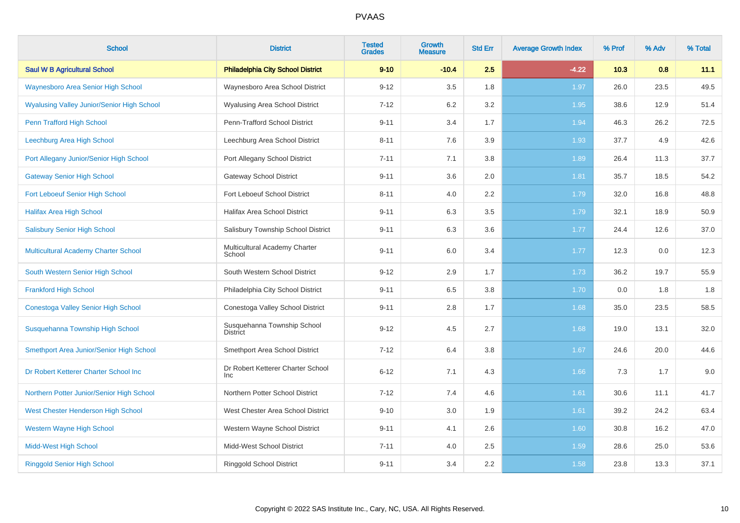| <b>School</b>                                     | <b>District</b>                                 | <b>Tested</b><br><b>Grades</b> | <b>Growth</b><br><b>Measure</b> | <b>Std Err</b> | <b>Average Growth Index</b> | % Prof | % Adv | % Total |
|---------------------------------------------------|-------------------------------------------------|--------------------------------|---------------------------------|----------------|-----------------------------|--------|-------|---------|
| <b>Saul W B Agricultural School</b>               | <b>Philadelphia City School District</b>        | $9 - 10$                       | $-10.4$                         | 2.5            | $-4.22$                     | 10.3   | 0.8   | 11.1    |
| <b>Waynesboro Area Senior High School</b>         | Waynesboro Area School District                 | $9 - 12$                       | 3.5                             | 1.8            | 1.97                        | 26.0   | 23.5  | 49.5    |
| <b>Wyalusing Valley Junior/Senior High School</b> | <b>Wyalusing Area School District</b>           | $7 - 12$                       | 6.2                             | 3.2            | 1.95                        | 38.6   | 12.9  | 51.4    |
| Penn Trafford High School                         | Penn-Trafford School District                   | $9 - 11$                       | 3.4                             | 1.7            | 1.94                        | 46.3   | 26.2  | 72.5    |
| Leechburg Area High School                        | Leechburg Area School District                  | $8 - 11$                       | 7.6                             | 3.9            | 1.93                        | 37.7   | 4.9   | 42.6    |
| Port Allegany Junior/Senior High School           | Port Allegany School District                   | $7 - 11$                       | 7.1                             | 3.8            | 1.89                        | 26.4   | 11.3  | 37.7    |
| <b>Gateway Senior High School</b>                 | <b>Gateway School District</b>                  | $9 - 11$                       | 3.6                             | 2.0            | 1.81                        | 35.7   | 18.5  | 54.2    |
| Fort Leboeuf Senior High School                   | Fort Leboeuf School District                    | $8 - 11$                       | 4.0                             | 2.2            | 1.79                        | 32.0   | 16.8  | 48.8    |
| <b>Halifax Area High School</b>                   | Halifax Area School District                    | $9 - 11$                       | 6.3                             | 3.5            | 1.79                        | 32.1   | 18.9  | 50.9    |
| <b>Salisbury Senior High School</b>               | Salisbury Township School District              | $9 - 11$                       | 6.3                             | 3.6            | 1.77                        | 24.4   | 12.6  | 37.0    |
| Multicultural Academy Charter School              | Multicultural Academy Charter<br>School         | $9 - 11$                       | 6.0                             | 3.4            | 1.77                        | 12.3   | 0.0   | 12.3    |
| South Western Senior High School                  | South Western School District                   | $9 - 12$                       | 2.9                             | 1.7            | 1.73                        | 36.2   | 19.7  | 55.9    |
| <b>Frankford High School</b>                      | Philadelphia City School District               | $9 - 11$                       | 6.5                             | 3.8            | 1.70                        | 0.0    | 1.8   | 1.8     |
| Conestoga Valley Senior High School               | Conestoga Valley School District                | $9 - 11$                       | 2.8                             | 1.7            | 1.68                        | 35.0   | 23.5  | 58.5    |
| Susquehanna Township High School                  | Susquehanna Township School<br><b>District</b>  | $9 - 12$                       | 4.5                             | 2.7            | 1.68                        | 19.0   | 13.1  | 32.0    |
| Smethport Area Junior/Senior High School          | Smethport Area School District                  | $7 - 12$                       | 6.4                             | 3.8            | 1.67                        | 24.6   | 20.0  | 44.6    |
| Dr Robert Ketterer Charter School Inc             | Dr Robert Ketterer Charter School<br><b>Inc</b> | $6 - 12$                       | 7.1                             | 4.3            | 1.66                        | 7.3    | 1.7   | 9.0     |
| Northern Potter Junior/Senior High School         | Northern Potter School District                 | $7 - 12$                       | 7.4                             | 4.6            | 1.61                        | 30.6   | 11.1  | 41.7    |
| West Chester Henderson High School                | West Chester Area School District               | $9 - 10$                       | 3.0                             | 1.9            | 1.61                        | 39.2   | 24.2  | 63.4    |
| <b>Western Wayne High School</b>                  | Western Wayne School District                   | $9 - 11$                       | 4.1                             | 2.6            | 1.60                        | 30.8   | 16.2  | 47.0    |
| <b>Midd-West High School</b>                      | Midd-West School District                       | $7 - 11$                       | 4.0                             | 2.5            | 1.59                        | 28.6   | 25.0  | 53.6    |
| <b>Ringgold Senior High School</b>                | <b>Ringgold School District</b>                 | $9 - 11$                       | 3.4                             | 2.2            | 1.58                        | 23.8   | 13.3  | 37.1    |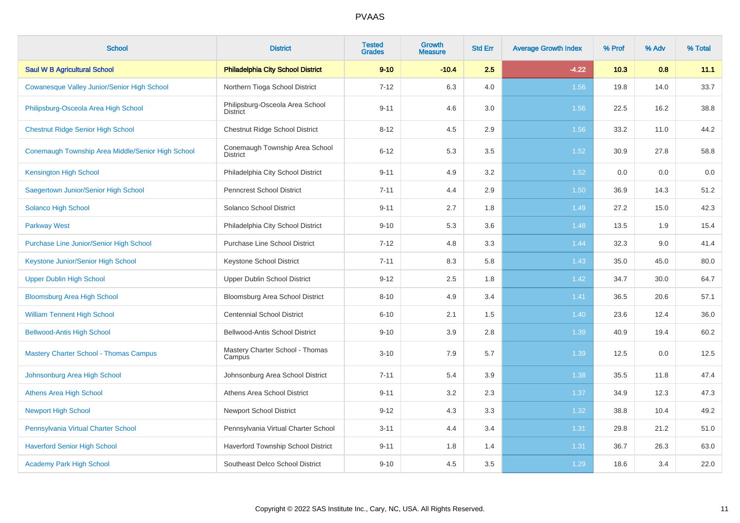| <b>School</b>                                     | <b>District</b>                                    | <b>Tested</b><br><b>Grades</b> | <b>Growth</b><br><b>Measure</b> | <b>Std Err</b> | <b>Average Growth Index</b> | % Prof | % Adv | % Total |
|---------------------------------------------------|----------------------------------------------------|--------------------------------|---------------------------------|----------------|-----------------------------|--------|-------|---------|
| <b>Saul W B Agricultural School</b>               | <b>Philadelphia City School District</b>           | $9 - 10$                       | $-10.4$                         | 2.5            | $-4.22$                     | 10.3   | 0.8   | 11.1    |
| Cowanesque Valley Junior/Senior High School       | Northern Tioga School District                     | $7 - 12$                       | 6.3                             | 4.0            | 1.56                        | 19.8   | 14.0  | 33.7    |
| Philipsburg-Osceola Area High School              | Philipsburg-Osceola Area School<br><b>District</b> | $9 - 11$                       | 4.6                             | 3.0            | 1.56                        | 22.5   | 16.2  | 38.8    |
| <b>Chestnut Ridge Senior High School</b>          | Chestnut Ridge School District                     | $8 - 12$                       | 4.5                             | 2.9            | 1.56                        | 33.2   | 11.0  | 44.2    |
| Conemaugh Township Area Middle/Senior High School | Conemaugh Township Area School<br><b>District</b>  | $6 - 12$                       | 5.3                             | 3.5            | 1.52                        | 30.9   | 27.8  | 58.8    |
| <b>Kensington High School</b>                     | Philadelphia City School District                  | $9 - 11$                       | 4.9                             | 3.2            | 1.52                        | 0.0    | 0.0   | 0.0     |
| Saegertown Junior/Senior High School              | <b>Penncrest School District</b>                   | $7 - 11$                       | 4.4                             | 2.9            | 1.50                        | 36.9   | 14.3  | 51.2    |
| Solanco High School                               | Solanco School District                            | $9 - 11$                       | 2.7                             | 1.8            | 1.49                        | 27.2   | 15.0  | 42.3    |
| <b>Parkway West</b>                               | Philadelphia City School District                  | $9 - 10$                       | 5.3                             | 3.6            | 1.48                        | 13.5   | 1.9   | 15.4    |
| <b>Purchase Line Junior/Senior High School</b>    | <b>Purchase Line School District</b>               | $7 - 12$                       | 4.8                             | 3.3            | 1.44                        | 32.3   | 9.0   | 41.4    |
| Keystone Junior/Senior High School                | Keystone School District                           | $7 - 11$                       | 8.3                             | 5.8            | 1.43                        | 35.0   | 45.0  | 80.0    |
| <b>Upper Dublin High School</b>                   | Upper Dublin School District                       | $9 - 12$                       | 2.5                             | 1.8            | 1.42                        | 34.7   | 30.0  | 64.7    |
| <b>Bloomsburg Area High School</b>                | Bloomsburg Area School District                    | $8 - 10$                       | 4.9                             | 3.4            | 1.41                        | 36.5   | 20.6  | 57.1    |
| <b>William Tennent High School</b>                | <b>Centennial School District</b>                  | $6 - 10$                       | 2.1                             | 1.5            | 1.40                        | 23.6   | 12.4  | 36.0    |
| <b>Bellwood-Antis High School</b>                 | Bellwood-Antis School District                     | $9 - 10$                       | 3.9                             | 2.8            | 1.39                        | 40.9   | 19.4  | 60.2    |
| <b>Mastery Charter School - Thomas Campus</b>     | Mastery Charter School - Thomas<br>Campus          | $3 - 10$                       | 7.9                             | 5.7            | 1.39                        | 12.5   | 0.0   | 12.5    |
| Johnsonburg Area High School                      | Johnsonburg Area School District                   | $7 - 11$                       | 5.4                             | 3.9            | 1.38                        | 35.5   | 11.8  | 47.4    |
| <b>Athens Area High School</b>                    | Athens Area School District                        | $9 - 11$                       | 3.2                             | 2.3            | 1.37                        | 34.9   | 12.3  | 47.3    |
| <b>Newport High School</b>                        | <b>Newport School District</b>                     | $9 - 12$                       | 4.3                             | 3.3            | 1.32                        | 38.8   | 10.4  | 49.2    |
| Pennsylvania Virtual Charter School               | Pennsylvania Virtual Charter School                | $3 - 11$                       | 4.4                             | 3.4            | 1.31                        | 29.8   | 21.2  | 51.0    |
| <b>Haverford Senior High School</b>               | Haverford Township School District                 | $9 - 11$                       | 1.8                             | 1.4            | 1.31                        | 36.7   | 26.3  | 63.0    |
| <b>Academy Park High School</b>                   | Southeast Delco School District                    | $9 - 10$                       | 4.5                             | 3.5            | 1.29                        | 18.6   | 3.4   | 22.0    |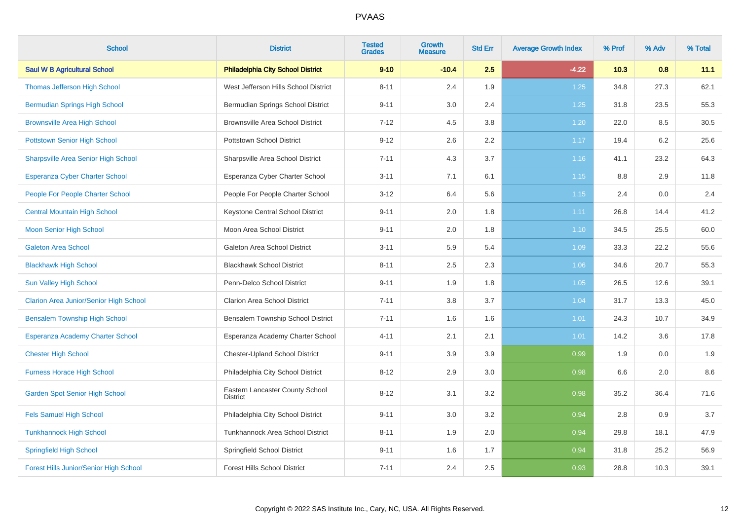| <b>School</b>                                 | <b>District</b>                                    | <b>Tested</b><br><b>Grades</b> | Growth<br><b>Measure</b> | <b>Std Err</b> | <b>Average Growth Index</b> | % Prof | % Adv | % Total |
|-----------------------------------------------|----------------------------------------------------|--------------------------------|--------------------------|----------------|-----------------------------|--------|-------|---------|
| <b>Saul W B Agricultural School</b>           | <b>Philadelphia City School District</b>           | $9 - 10$                       | $-10.4$                  | 2.5            | $-4.22$                     | 10.3   | 0.8   | 11.1    |
| Thomas Jefferson High School                  | West Jefferson Hills School District               | $8 - 11$                       | 2.4                      | 1.9            | 1.25                        | 34.8   | 27.3  | 62.1    |
| <b>Bermudian Springs High School</b>          | Bermudian Springs School District                  | $9 - 11$                       | 3.0                      | 2.4            | 1.25                        | 31.8   | 23.5  | 55.3    |
| <b>Brownsville Area High School</b>           | <b>Brownsville Area School District</b>            | $7 - 12$                       | 4.5                      | 3.8            | 1.20                        | 22.0   | 8.5   | 30.5    |
| <b>Pottstown Senior High School</b>           | Pottstown School District                          | $9 - 12$                       | 2.6                      | 2.2            | 1.17                        | 19.4   | 6.2   | 25.6    |
| <b>Sharpsville Area Senior High School</b>    | Sharpsville Area School District                   | $7 - 11$                       | 4.3                      | 3.7            | 1.16                        | 41.1   | 23.2  | 64.3    |
| Esperanza Cyber Charter School                | Esperanza Cyber Charter School                     | $3 - 11$                       | 7.1                      | 6.1            | 1.15                        | 8.8    | 2.9   | 11.8    |
| People For People Charter School              | People For People Charter School                   | $3 - 12$                       | 6.4                      | 5.6            | 1.15                        | 2.4    | 0.0   | 2.4     |
| <b>Central Mountain High School</b>           | Keystone Central School District                   | $9 - 11$                       | 2.0                      | 1.8            | 1.11                        | 26.8   | 14.4  | 41.2    |
| <b>Moon Senior High School</b>                | Moon Area School District                          | $9 - 11$                       | 2.0                      | 1.8            | 1.10                        | 34.5   | 25.5  | 60.0    |
| <b>Galeton Area School</b>                    | Galeton Area School District                       | $3 - 11$                       | 5.9                      | 5.4            | 1.09                        | 33.3   | 22.2  | 55.6    |
| <b>Blackhawk High School</b>                  | <b>Blackhawk School District</b>                   | $8 - 11$                       | 2.5                      | 2.3            | 1.06                        | 34.6   | 20.7  | 55.3    |
| Sun Valley High School                        | Penn-Delco School District                         | $9 - 11$                       | 1.9                      | 1.8            | 1.05                        | 26.5   | 12.6  | 39.1    |
| <b>Clarion Area Junior/Senior High School</b> | <b>Clarion Area School District</b>                | $7 - 11$                       | 3.8                      | 3.7            | 1.04                        | 31.7   | 13.3  | 45.0    |
| <b>Bensalem Township High School</b>          | Bensalem Township School District                  | $7 - 11$                       | 1.6                      | 1.6            | 1.01                        | 24.3   | 10.7  | 34.9    |
| Esperanza Academy Charter School              | Esperanza Academy Charter School                   | $4 - 11$                       | 2.1                      | 2.1            | 1.01                        | 14.2   | 3.6   | 17.8    |
| <b>Chester High School</b>                    | <b>Chester-Upland School District</b>              | $9 - 11$                       | 3.9                      | 3.9            | 0.99                        | 1.9    | 0.0   | 1.9     |
| <b>Furness Horace High School</b>             | Philadelphia City School District                  | $8 - 12$                       | 2.9                      | 3.0            | 0.98                        | 6.6    | 2.0   | 8.6     |
| <b>Garden Spot Senior High School</b>         | Eastern Lancaster County School<br><b>District</b> | $8 - 12$                       | 3.1                      | 3.2            | 0.98                        | 35.2   | 36.4  | 71.6    |
| <b>Fels Samuel High School</b>                | Philadelphia City School District                  | $9 - 11$                       | 3.0                      | 3.2            | 0.94                        | 2.8    | 0.9   | 3.7     |
| <b>Tunkhannock High School</b>                | Tunkhannock Area School District                   | $8 - 11$                       | 1.9                      | 2.0            | 0.94                        | 29.8   | 18.1  | 47.9    |
| <b>Springfield High School</b>                | Springfield School District                        | $9 - 11$                       | 1.6                      | 1.7            | 0.94                        | 31.8   | 25.2  | 56.9    |
| <b>Forest Hills Junior/Senior High School</b> | <b>Forest Hills School District</b>                | $7 - 11$                       | 2.4                      | 2.5            | 0.93                        | 28.8   | 10.3  | 39.1    |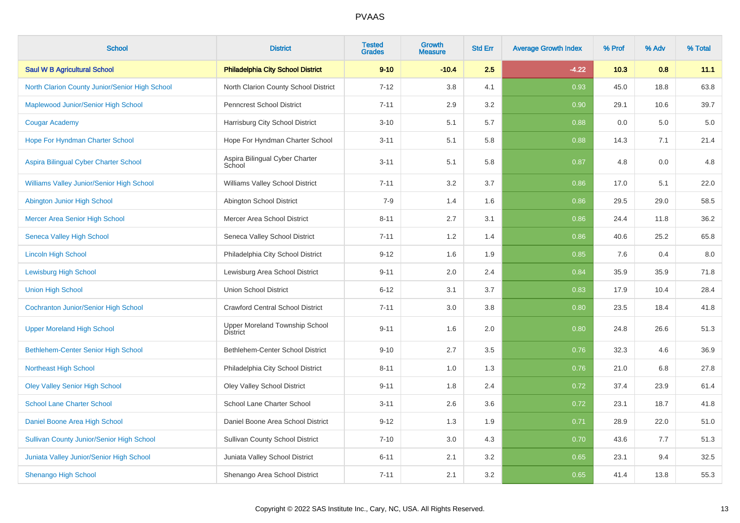| <b>School</b>                                    | <b>District</b>                                   | <b>Tested</b><br><b>Grades</b> | <b>Growth</b><br><b>Measure</b> | <b>Std Err</b> | <b>Average Growth Index</b> | % Prof | % Adv | % Total |
|--------------------------------------------------|---------------------------------------------------|--------------------------------|---------------------------------|----------------|-----------------------------|--------|-------|---------|
| <b>Saul W B Agricultural School</b>              | <b>Philadelphia City School District</b>          | $9 - 10$                       | $-10.4$                         | 2.5            | $-4.22$                     | 10.3   | 0.8   | 11.1    |
| North Clarion County Junior/Senior High School   | North Clarion County School District              | $7 - 12$                       | 3.8                             | 4.1            | 0.93                        | 45.0   | 18.8  | 63.8    |
| Maplewood Junior/Senior High School              | <b>Penncrest School District</b>                  | $7 - 11$                       | 2.9                             | 3.2            | 0.90                        | 29.1   | 10.6  | 39.7    |
| <b>Cougar Academy</b>                            | Harrisburg City School District                   | $3 - 10$                       | 5.1                             | 5.7            | 0.88                        | 0.0    | 5.0   | $5.0\,$ |
| Hope For Hyndman Charter School                  | Hope For Hyndman Charter School                   | $3 - 11$                       | 5.1                             | 5.8            | 0.88                        | 14.3   | 7.1   | 21.4    |
| Aspira Bilingual Cyber Charter School            | Aspira Bilingual Cyber Charter<br>School          | $3 - 11$                       | 5.1                             | 5.8            | 0.87                        | 4.8    | 0.0   | 4.8     |
| Williams Valley Junior/Senior High School        | Williams Valley School District                   | $7 - 11$                       | 3.2                             | 3.7            | 0.86                        | 17.0   | 5.1   | 22.0    |
| Abington Junior High School                      | Abington School District                          | $7-9$                          | 1.4                             | 1.6            | 0.86                        | 29.5   | 29.0  | 58.5    |
| Mercer Area Senior High School                   | Mercer Area School District                       | $8 - 11$                       | 2.7                             | 3.1            | 0.86                        | 24.4   | 11.8  | 36.2    |
| <b>Seneca Valley High School</b>                 | Seneca Valley School District                     | $7 - 11$                       | 1.2                             | 1.4            | 0.86                        | 40.6   | 25.2  | 65.8    |
| <b>Lincoln High School</b>                       | Philadelphia City School District                 | $9 - 12$                       | 1.6                             | 1.9            | 0.85                        | 7.6    | 0.4   | $8.0\,$ |
| <b>Lewisburg High School</b>                     | Lewisburg Area School District                    | $9 - 11$                       | 2.0                             | 2.4            | 0.84                        | 35.9   | 35.9  | 71.8    |
| <b>Union High School</b>                         | <b>Union School District</b>                      | $6 - 12$                       | 3.1                             | 3.7            | 0.83                        | 17.9   | 10.4  | 28.4    |
| <b>Cochranton Junior/Senior High School</b>      | <b>Crawford Central School District</b>           | $7 - 11$                       | 3.0                             | 3.8            | 0.80                        | 23.5   | 18.4  | 41.8    |
| <b>Upper Moreland High School</b>                | Upper Moreland Township School<br><b>District</b> | $9 - 11$                       | 1.6                             | 2.0            | 0.80                        | 24.8   | 26.6  | 51.3    |
| Bethlehem-Center Senior High School              | Bethlehem-Center School District                  | $9 - 10$                       | 2.7                             | 3.5            | 0.76                        | 32.3   | 4.6   | 36.9    |
| <b>Northeast High School</b>                     | Philadelphia City School District                 | $8 - 11$                       | 1.0                             | 1.3            | 0.76                        | 21.0   | 6.8   | 27.8    |
| <b>Oley Valley Senior High School</b>            | <b>Oley Valley School District</b>                | $9 - 11$                       | 1.8                             | 2.4            | 0.72                        | 37.4   | 23.9  | 61.4    |
| <b>School Lane Charter School</b>                | School Lane Charter School                        | $3 - 11$                       | 2.6                             | $3.6\,$        | 0.72                        | 23.1   | 18.7  | 41.8    |
| Daniel Boone Area High School                    | Daniel Boone Area School District                 | $9 - 12$                       | 1.3                             | 1.9            | 0.71                        | 28.9   | 22.0  | 51.0    |
| <b>Sullivan County Junior/Senior High School</b> | <b>Sullivan County School District</b>            | $7 - 10$                       | 3.0                             | 4.3            | 0.70                        | 43.6   | 7.7   | 51.3    |
| <b>Juniata Valley Junior/Senior High School</b>  | Juniata Valley School District                    | $6 - 11$                       | 2.1                             | 3.2            | 0.65                        | 23.1   | 9.4   | 32.5    |
| <b>Shenango High School</b>                      | Shenango Area School District                     | $7 - 11$                       | 2.1                             | 3.2            | 0.65                        | 41.4   | 13.8  | 55.3    |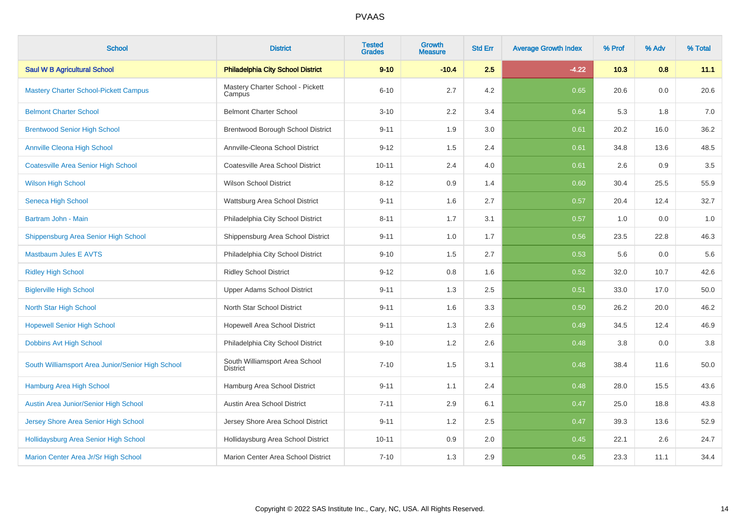| <b>School</b>                                     | <b>District</b>                                   | <b>Tested</b><br><b>Grades</b> | Growth<br>Measure | <b>Std Err</b> | <b>Average Growth Index</b> | % Prof | % Adv | % Total |
|---------------------------------------------------|---------------------------------------------------|--------------------------------|-------------------|----------------|-----------------------------|--------|-------|---------|
| <b>Saul W B Agricultural School</b>               | <b>Philadelphia City School District</b>          | $9 - 10$                       | $-10.4$           | 2.5            | $-4.22$                     | 10.3   | 0.8   | 11.1    |
| <b>Mastery Charter School-Pickett Campus</b>      | Mastery Charter School - Pickett<br>Campus        | $6 - 10$                       | 2.7               | 4.2            | 0.65                        | 20.6   | 0.0   | 20.6    |
| <b>Belmont Charter School</b>                     | <b>Belmont Charter School</b>                     | $3 - 10$                       | 2.2               | 3.4            | 0.64                        | 5.3    | 1.8   | 7.0     |
| <b>Brentwood Senior High School</b>               | Brentwood Borough School District                 | $9 - 11$                       | 1.9               | 3.0            | 0.61                        | 20.2   | 16.0  | 36.2    |
| <b>Annville Cleona High School</b>                | Annville-Cleona School District                   | $9 - 12$                       | 1.5               | 2.4            | 0.61                        | 34.8   | 13.6  | 48.5    |
| <b>Coatesville Area Senior High School</b>        | Coatesville Area School District                  | $10 - 11$                      | 2.4               | 4.0            | 0.61                        | 2.6    | 0.9   | $3.5\,$ |
| <b>Wilson High School</b>                         | <b>Wilson School District</b>                     | $8 - 12$                       | 0.9               | 1.4            | 0.60                        | 30.4   | 25.5  | 55.9    |
| Seneca High School                                | Wattsburg Area School District                    | $9 - 11$                       | 1.6               | 2.7            | 0.57                        | 20.4   | 12.4  | 32.7    |
| Bartram John - Main                               | Philadelphia City School District                 | $8 - 11$                       | 1.7               | 3.1            | 0.57                        | 1.0    | 0.0   | 1.0     |
| Shippensburg Area Senior High School              | Shippensburg Area School District                 | $9 - 11$                       | 1.0               | 1.7            | 0.56                        | 23.5   | 22.8  | 46.3    |
| <b>Mastbaum Jules E AVTS</b>                      | Philadelphia City School District                 | $9 - 10$                       | 1.5               | 2.7            | 0.53                        | 5.6    | 0.0   | 5.6     |
| <b>Ridley High School</b>                         | <b>Ridley School District</b>                     | $9 - 12$                       | 0.8               | 1.6            | 0.52                        | 32.0   | 10.7  | 42.6    |
| <b>Biglerville High School</b>                    | Upper Adams School District                       | $9 - 11$                       | 1.3               | 2.5            | 0.51                        | 33.0   | 17.0  | 50.0    |
| North Star High School                            | North Star School District                        | $9 - 11$                       | 1.6               | 3.3            | 0.50                        | 26.2   | 20.0  | 46.2    |
| <b>Hopewell Senior High School</b>                | Hopewell Area School District                     | $9 - 11$                       | 1.3               | 2.6            | 0.49                        | 34.5   | 12.4  | 46.9    |
| Dobbins Avt High School                           | Philadelphia City School District                 | $9 - 10$                       | 1.2               | 2.6            | 0.48                        | 3.8    | 0.0   | $3.8\,$ |
| South Williamsport Area Junior/Senior High School | South Williamsport Area School<br><b>District</b> | $7 - 10$                       | 1.5               | 3.1            | 0.48                        | 38.4   | 11.6  | 50.0    |
| Hamburg Area High School                          | Hamburg Area School District                      | $9 - 11$                       | 1.1               | 2.4            | 0.48                        | 28.0   | 15.5  | 43.6    |
| Austin Area Junior/Senior High School             | Austin Area School District                       | $7 - 11$                       | 2.9               | 6.1            | 0.47                        | 25.0   | 18.8  | 43.8    |
| Jersey Shore Area Senior High School              | Jersey Shore Area School District                 | $9 - 11$                       | 1.2               | 2.5            | 0.47                        | 39.3   | 13.6  | 52.9    |
| Hollidaysburg Area Senior High School             | Hollidaysburg Area School District                | $10 - 11$                      | 0.9               | 2.0            | 0.45                        | 22.1   | 2.6   | 24.7    |
| Marion Center Area Jr/Sr High School              | Marion Center Area School District                | $7 - 10$                       | 1.3               | 2.9            | 0.45                        | 23.3   | 11.1  | 34.4    |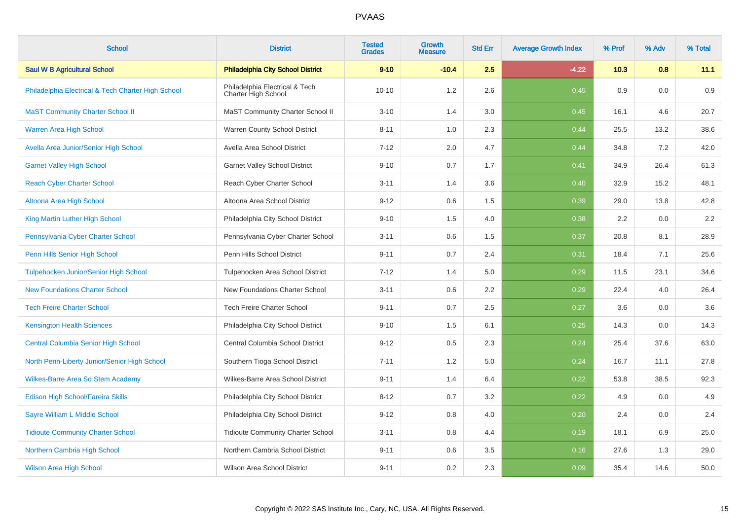| <b>School</b>                                      | <b>District</b>                                       | <b>Tested</b><br><b>Grades</b> | Growth<br><b>Measure</b> | <b>Std Err</b> | <b>Average Growth Index</b> | % Prof | % Adv | % Total |
|----------------------------------------------------|-------------------------------------------------------|--------------------------------|--------------------------|----------------|-----------------------------|--------|-------|---------|
| <b>Saul W B Agricultural School</b>                | <b>Philadelphia City School District</b>              | $9 - 10$                       | $-10.4$                  | 2.5            | $-4.22$                     | 10.3   | 0.8   | 11.1    |
| Philadelphia Electrical & Tech Charter High School | Philadelphia Electrical & Tech<br>Charter High School | $10 - 10$                      | 1.2                      | 2.6            | 0.45                        | 0.9    | 0.0   | 0.9     |
| <b>MaST Community Charter School II</b>            | MaST Community Charter School II                      | $3 - 10$                       | 1.4                      | 3.0            | 0.45                        | 16.1   | 4.6   | 20.7    |
| Warren Area High School                            | Warren County School District                         | $8 - 11$                       | 1.0                      | 2.3            | 0.44                        | 25.5   | 13.2  | 38.6    |
| Avella Area Junior/Senior High School              | Avella Area School District                           | $7 - 12$                       | 2.0                      | 4.7            | 0.44                        | 34.8   | 7.2   | 42.0    |
| <b>Garnet Valley High School</b>                   | <b>Garnet Valley School District</b>                  | $9 - 10$                       | 0.7                      | 1.7            | 0.41                        | 34.9   | 26.4  | 61.3    |
| <b>Reach Cyber Charter School</b>                  | Reach Cyber Charter School                            | $3 - 11$                       | 1.4                      | 3.6            | 0.40                        | 32.9   | 15.2  | 48.1    |
| Altoona Area High School                           | Altoona Area School District                          | $9 - 12$                       | 0.6                      | 1.5            | 0.39                        | 29.0   | 13.8  | 42.8    |
| King Martin Luther High School                     | Philadelphia City School District                     | $9 - 10$                       | 1.5                      | 4.0            | 0.38                        | 2.2    | 0.0   | 2.2     |
| Pennsylvania Cyber Charter School                  | Pennsylvania Cyber Charter School                     | $3 - 11$                       | 0.6                      | 1.5            | 0.37                        | 20.8   | 8.1   | 28.9    |
| Penn Hills Senior High School                      | Penn Hills School District                            | $9 - 11$                       | $0.7\,$                  | 2.4            | 0.31                        | 18.4   | 7.1   | 25.6    |
| Tulpehocken Junior/Senior High School              | Tulpehocken Area School District                      | $7 - 12$                       | 1.4                      | 5.0            | 0.29                        | 11.5   | 23.1  | 34.6    |
| <b>New Foundations Charter School</b>              | New Foundations Charter School                        | $3 - 11$                       | 0.6                      | 2.2            | 0.29                        | 22.4   | 4.0   | 26.4    |
| <b>Tech Freire Charter School</b>                  | <b>Tech Freire Charter School</b>                     | $9 - 11$                       | 0.7                      | 2.5            | 0.27                        | 3.6    | 0.0   | 3.6     |
| <b>Kensington Health Sciences</b>                  | Philadelphia City School District                     | $9 - 10$                       | 1.5                      | 6.1            | 0.25                        | 14.3   | 0.0   | 14.3    |
| <b>Central Columbia Senior High School</b>         | Central Columbia School District                      | $9 - 12$                       | 0.5                      | 2.3            | 0.24                        | 25.4   | 37.6  | 63.0    |
| North Penn-Liberty Junior/Senior High School       | Southern Tioga School District                        | $7 - 11$                       | 1.2                      | 5.0            | 0.24                        | 16.7   | 11.1  | 27.8    |
| <b>Wilkes-Barre Area Sd Stem Academy</b>           | Wilkes-Barre Area School District                     | $9 - 11$                       | 1.4                      | 6.4            | 0.22                        | 53.8   | 38.5  | 92.3    |
| Edison High School/Fareira Skills                  | Philadelphia City School District                     | $8 - 12$                       | 0.7                      | 3.2            | 0.22                        | 4.9    | 0.0   | 4.9     |
| Sayre William L Middle School                      | Philadelphia City School District                     | $9 - 12$                       | 0.8                      | 4.0            | 0.20                        | 2.4    | 0.0   | 2.4     |
| <b>Tidioute Community Charter School</b>           | <b>Tidioute Community Charter School</b>              | $3 - 11$                       | 0.8                      | 4.4            | 0.19                        | 18.1   | 6.9   | 25.0    |
| Northern Cambria High School                       | Northern Cambria School District                      | $9 - 11$                       | 0.6                      | 3.5            | 0.16                        | 27.6   | 1.3   | 29.0    |
| <b>Wilson Area High School</b>                     | <b>Wilson Area School District</b>                    | $9 - 11$                       | 0.2                      | 2.3            | 0.09                        | 35.4   | 14.6  | 50.0    |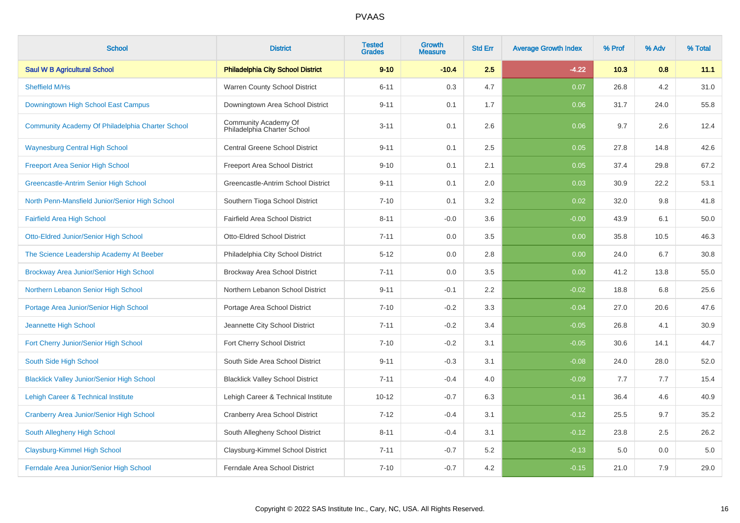| <b>School</b>                                     | <b>District</b>                                     | <b>Tested</b><br><b>Grades</b> | Growth<br><b>Measure</b> | <b>Std Err</b> | <b>Average Growth Index</b> | % Prof | % Adv | % Total |
|---------------------------------------------------|-----------------------------------------------------|--------------------------------|--------------------------|----------------|-----------------------------|--------|-------|---------|
| <b>Saul W B Agricultural School</b>               | <b>Philadelphia City School District</b>            | $9 - 10$                       | $-10.4$                  | 2.5            | $-4.22$                     | 10.3   | 0.8   | 11.1    |
| Sheffield M/Hs                                    | Warren County School District                       | $6 - 11$                       | 0.3                      | 4.7            | 0.07                        | 26.8   | 4.2   | 31.0    |
| Downingtown High School East Campus               | Downingtown Area School District                    | $9 - 11$                       | 0.1                      | 1.7            | 0.06                        | 31.7   | 24.0  | 55.8    |
| Community Academy Of Philadelphia Charter School  | Community Academy Of<br>Philadelphia Charter School | $3 - 11$                       | 0.1                      | 2.6            | 0.06                        | 9.7    | 2.6   | 12.4    |
| <b>Waynesburg Central High School</b>             | <b>Central Greene School District</b>               | $9 - 11$                       | 0.1                      | 2.5            | 0.05                        | 27.8   | 14.8  | 42.6    |
| <b>Freeport Area Senior High School</b>           | Freeport Area School District                       | $9 - 10$                       | 0.1                      | 2.1            | 0.05                        | 37.4   | 29.8  | 67.2    |
| Greencastle-Antrim Senior High School             | Greencastle-Antrim School District                  | $9 - 11$                       | 0.1                      | 2.0            | 0.03                        | 30.9   | 22.2  | 53.1    |
| North Penn-Mansfield Junior/Senior High School    | Southern Tioga School District                      | $7 - 10$                       | 0.1                      | 3.2            | 0.02                        | 32.0   | 9.8   | 41.8    |
| <b>Fairfield Area High School</b>                 | <b>Fairfield Area School District</b>               | $8 - 11$                       | $-0.0$                   | 3.6            | $-0.00$                     | 43.9   | 6.1   | 50.0    |
| Otto-Eldred Junior/Senior High School             | Otto-Eldred School District                         | $7 - 11$                       | 0.0                      | 3.5            | 0.00                        | 35.8   | 10.5  | 46.3    |
| The Science Leadership Academy At Beeber          | Philadelphia City School District                   | $5 - 12$                       | 0.0                      | 2.8            | 0.00                        | 24.0   | 6.7   | 30.8    |
| Brockway Area Junior/Senior High School           | Brockway Area School District                       | $7 - 11$                       | 0.0                      | 3.5            | 0.00                        | 41.2   | 13.8  | 55.0    |
| Northern Lebanon Senior High School               | Northern Lebanon School District                    | $9 - 11$                       | $-0.1$                   | 2.2            | $-0.02$                     | 18.8   | 6.8   | 25.6    |
| Portage Area Junior/Senior High School            | Portage Area School District                        | $7 - 10$                       | $-0.2$                   | 3.3            | $-0.04$                     | 27.0   | 20.6  | 47.6    |
| Jeannette High School                             | Jeannette City School District                      | $7 - 11$                       | $-0.2$                   | 3.4            | $-0.05$                     | 26.8   | 4.1   | 30.9    |
| Fort Cherry Junior/Senior High School             | Fort Cherry School District                         | $7 - 10$                       | $-0.2$                   | 3.1            | $-0.05$                     | 30.6   | 14.1  | 44.7    |
| South Side High School                            | South Side Area School District                     | $9 - 11$                       | $-0.3$                   | 3.1            | $-0.08$                     | 24.0   | 28.0  | 52.0    |
| <b>Blacklick Valley Junior/Senior High School</b> | <b>Blacklick Valley School District</b>             | $7 - 11$                       | $-0.4$                   | 4.0            | $-0.09$                     | 7.7    | 7.7   | 15.4    |
| Lehigh Career & Technical Institute               | Lehigh Career & Technical Institute                 | $10 - 12$                      | $-0.7$                   | 6.3            | $-0.11$                     | 36.4   | 4.6   | 40.9    |
| Cranberry Area Junior/Senior High School          | <b>Cranberry Area School District</b>               | $7 - 12$                       | $-0.4$                   | 3.1            | $-0.12$                     | 25.5   | 9.7   | 35.2    |
| South Allegheny High School                       | South Allegheny School District                     | $8 - 11$                       | $-0.4$                   | 3.1            | $-0.12$                     | 23.8   | 2.5   | 26.2    |
| Claysburg-Kimmel High School                      | Claysburg-Kimmel School District                    | $7 - 11$                       | $-0.7$                   | 5.2            | $-0.13$                     | 5.0    | 0.0   | 5.0     |
| Ferndale Area Junior/Senior High School           | Ferndale Area School District                       | $7 - 10$                       | $-0.7$                   | 4.2            | $-0.15$                     | 21.0   | 7.9   | 29.0    |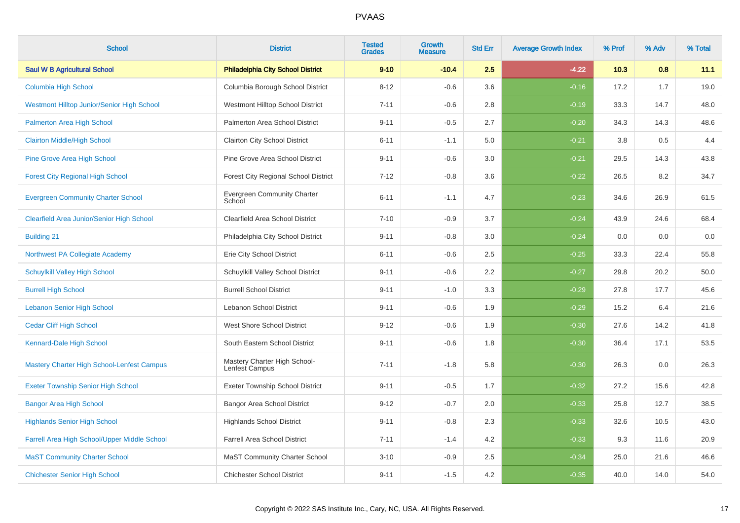| <b>School</b>                                | <b>District</b>                                | <b>Tested</b><br><b>Grades</b> | <b>Growth</b><br><b>Measure</b> | <b>Std Err</b> | <b>Average Growth Index</b> | % Prof | % Adv | % Total |
|----------------------------------------------|------------------------------------------------|--------------------------------|---------------------------------|----------------|-----------------------------|--------|-------|---------|
| <b>Saul W B Agricultural School</b>          | <b>Philadelphia City School District</b>       | $9 - 10$                       | $-10.4$                         | 2.5            | $-4.22$                     | 10.3   | 0.8   | 11.1    |
| Columbia High School                         | Columbia Borough School District               | $8 - 12$                       | $-0.6$                          | 3.6            | $-0.16$                     | 17.2   | 1.7   | 19.0    |
| Westmont Hilltop Junior/Senior High School   | Westmont Hilltop School District               | $7 - 11$                       | $-0.6$                          | 2.8            | $-0.19$                     | 33.3   | 14.7  | 48.0    |
| Palmerton Area High School                   | Palmerton Area School District                 | $9 - 11$                       | $-0.5$                          | 2.7            | $-0.20$                     | 34.3   | 14.3  | 48.6    |
| <b>Clairton Middle/High School</b>           | <b>Clairton City School District</b>           | $6 - 11$                       | $-1.1$                          | 5.0            | $-0.21$                     | 3.8    | 0.5   | 4.4     |
| <b>Pine Grove Area High School</b>           | Pine Grove Area School District                | $9 - 11$                       | $-0.6$                          | 3.0            | $-0.21$                     | 29.5   | 14.3  | 43.8    |
| <b>Forest City Regional High School</b>      | Forest City Regional School District           | $7 - 12$                       | $-0.8$                          | 3.6            | $-0.22$                     | 26.5   | 8.2   | 34.7    |
| <b>Evergreen Community Charter School</b>    | <b>Evergreen Community Charter</b><br>School   | $6 - 11$                       | $-1.1$                          | 4.7            | $-0.23$                     | 34.6   | 26.9  | 61.5    |
| Clearfield Area Junior/Senior High School    | Clearfield Area School District                | $7 - 10$                       | $-0.9$                          | 3.7            | $-0.24$                     | 43.9   | 24.6  | 68.4    |
| <b>Building 21</b>                           | Philadelphia City School District              | $9 - 11$                       | $-0.8$                          | 3.0            | $-0.24$                     | 0.0    | 0.0   | $0.0\,$ |
| Northwest PA Collegiate Academy              | Erie City School District                      | $6 - 11$                       | $-0.6$                          | 2.5            | $-0.25$                     | 33.3   | 22.4  | 55.8    |
| <b>Schuylkill Valley High School</b>         | Schuylkill Valley School District              | $9 - 11$                       | $-0.6$                          | 2.2            | $-0.27$                     | 29.8   | 20.2  | 50.0    |
| <b>Burrell High School</b>                   | <b>Burrell School District</b>                 | $9 - 11$                       | $-1.0$                          | 3.3            | $-0.29$                     | 27.8   | 17.7  | 45.6    |
| <b>Lebanon Senior High School</b>            | Lebanon School District                        | $9 - 11$                       | $-0.6$                          | 1.9            | $-0.29$                     | 15.2   | 6.4   | 21.6    |
| <b>Cedar Cliff High School</b>               | West Shore School District                     | $9 - 12$                       | $-0.6$                          | 1.9            | $-0.30$                     | 27.6   | 14.2  | 41.8    |
| Kennard-Dale High School                     | South Eastern School District                  | $9 - 11$                       | $-0.6$                          | 1.8            | $-0.30$                     | 36.4   | 17.1  | 53.5    |
| Mastery Charter High School-Lenfest Campus   | Mastery Charter High School-<br>Lenfest Campus | $7 - 11$                       | $-1.8$                          | 5.8            | $-0.30$                     | 26.3   | 0.0   | 26.3    |
| <b>Exeter Township Senior High School</b>    | <b>Exeter Township School District</b>         | $9 - 11$                       | $-0.5$                          | 1.7            | $-0.32$                     | 27.2   | 15.6  | 42.8    |
| <b>Bangor Area High School</b>               | <b>Bangor Area School District</b>             | $9 - 12$                       | $-0.7$                          | 2.0            | $-0.33$                     | 25.8   | 12.7  | 38.5    |
| <b>Highlands Senior High School</b>          | <b>Highlands School District</b>               | $9 - 11$                       | $-0.8$                          | 2.3            | $-0.33$                     | 32.6   | 10.5  | 43.0    |
| Farrell Area High School/Upper Middle School | <b>Farrell Area School District</b>            | $7 - 11$                       | $-1.4$                          | 4.2            | $-0.33$                     | 9.3    | 11.6  | 20.9    |
| <b>MaST Community Charter School</b>         | <b>MaST Community Charter School</b>           | $3 - 10$                       | $-0.9$                          | 2.5            | $-0.34$                     | 25.0   | 21.6  | 46.6    |
| <b>Chichester Senior High School</b>         | <b>Chichester School District</b>              | $9 - 11$                       | $-1.5$                          | 4.2            | $-0.35$                     | 40.0   | 14.0  | 54.0    |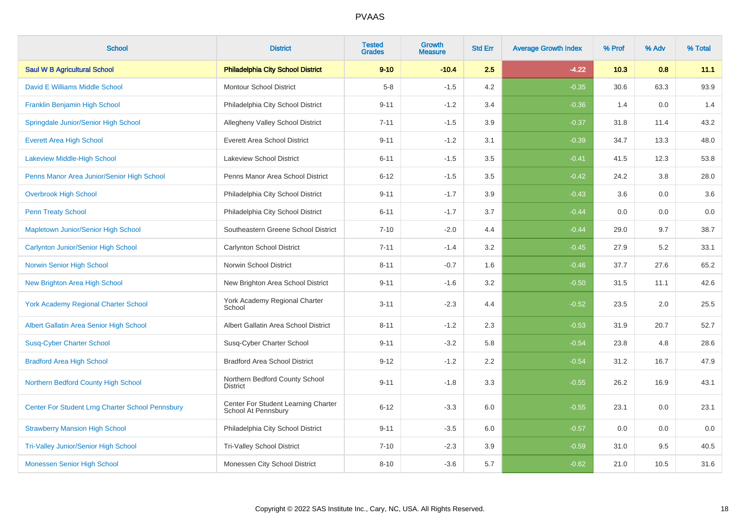| <b>School</b>                                    | <b>District</b>                                            | <b>Tested</b><br><b>Grades</b> | <b>Growth</b><br><b>Measure</b> | <b>Std Err</b> | <b>Average Growth Index</b> | % Prof | % Adv | % Total |
|--------------------------------------------------|------------------------------------------------------------|--------------------------------|---------------------------------|----------------|-----------------------------|--------|-------|---------|
| <b>Saul W B Agricultural School</b>              | <b>Philadelphia City School District</b>                   | $9 - 10$                       | $-10.4$                         | 2.5            | $-4.22$                     | 10.3   | 0.8   | 11.1    |
| David E Williams Middle School                   | <b>Montour School District</b>                             | $5-8$                          | $-1.5$                          | 4.2            | $-0.35$                     | 30.6   | 63.3  | 93.9    |
| Franklin Benjamin High School                    | Philadelphia City School District                          | $9 - 11$                       | $-1.2$                          | 3.4            | $-0.36$                     | 1.4    | 0.0   | 1.4     |
| Springdale Junior/Senior High School             | Allegheny Valley School District                           | $7 - 11$                       | $-1.5$                          | 3.9            | $-0.37$                     | 31.8   | 11.4  | 43.2    |
| <b>Everett Area High School</b>                  | <b>Everett Area School District</b>                        | $9 - 11$                       | $-1.2$                          | 3.1            | $-0.39$                     | 34.7   | 13.3  | 48.0    |
| <b>Lakeview Middle-High School</b>               | Lakeview School District                                   | $6 - 11$                       | $-1.5$                          | 3.5            | $-0.41$                     | 41.5   | 12.3  | 53.8    |
| Penns Manor Area Junior/Senior High School       | Penns Manor Area School District                           | $6 - 12$                       | $-1.5$                          | 3.5            | $-0.42$                     | 24.2   | 3.8   | 28.0    |
| <b>Overbrook High School</b>                     | Philadelphia City School District                          | $9 - 11$                       | $-1.7$                          | 3.9            | $-0.43$                     | 3.6    | 0.0   | 3.6     |
| <b>Penn Treaty School</b>                        | Philadelphia City School District                          | $6 - 11$                       | $-1.7$                          | 3.7            | $-0.44$                     | 0.0    | 0.0   | $0.0\,$ |
| Mapletown Junior/Senior High School              | Southeastern Greene School District                        | $7 - 10$                       | $-2.0$                          | 4.4            | $-0.44$                     | 29.0   | 9.7   | 38.7    |
| <b>Carlynton Junior/Senior High School</b>       | Carlynton School District                                  | $7 - 11$                       | $-1.4$                          | 3.2            | $-0.45$                     | 27.9   | 5.2   | 33.1    |
| Norwin Senior High School                        | Norwin School District                                     | $8 - 11$                       | $-0.7$                          | 1.6            | $-0.46$                     | 37.7   | 27.6  | 65.2    |
| New Brighton Area High School                    | New Brighton Area School District                          | $9 - 11$                       | $-1.6$                          | 3.2            | $-0.50$                     | 31.5   | 11.1  | 42.6    |
| <b>York Academy Regional Charter School</b>      | York Academy Regional Charter<br>School                    | $3 - 11$                       | $-2.3$                          | 4.4            | $-0.52$                     | 23.5   | 2.0   | 25.5    |
| Albert Gallatin Area Senior High School          | Albert Gallatin Area School District                       | $8 - 11$                       | $-1.2$                          | 2.3            | $-0.53$                     | 31.9   | 20.7  | 52.7    |
| <b>Susq-Cyber Charter School</b>                 | Susq-Cyber Charter School                                  | $9 - 11$                       | $-3.2$                          | 5.8            | $-0.54$                     | 23.8   | 4.8   | 28.6    |
| <b>Bradford Area High School</b>                 | <b>Bradford Area School District</b>                       | $9 - 12$                       | $-1.2$                          | 2.2            | $-0.54$                     | 31.2   | 16.7  | 47.9    |
| Northern Bedford County High School              | Northern Bedford County School<br><b>District</b>          | $9 - 11$                       | $-1.8$                          | 3.3            | $-0.55$                     | 26.2   | 16.9  | 43.1    |
| Center For Student Lrng Charter School Pennsbury | Center For Student Learning Charter<br>School At Pennsbury | $6 - 12$                       | $-3.3$                          | 6.0            | $-0.55$                     | 23.1   | 0.0   | 23.1    |
| <b>Strawberry Mansion High School</b>            | Philadelphia City School District                          | $9 - 11$                       | $-3.5$                          | 6.0            | $-0.57$                     | 0.0    | 0.0   | 0.0     |
| <b>Tri-Valley Junior/Senior High School</b>      | <b>Tri-Valley School District</b>                          | $7 - 10$                       | $-2.3$                          | 3.9            | $-0.59$                     | 31.0   | 9.5   | 40.5    |
| Monessen Senior High School                      | Monessen City School District                              | $8 - 10$                       | $-3.6$                          | 5.7            | $-0.62$                     | 21.0   | 10.5  | 31.6    |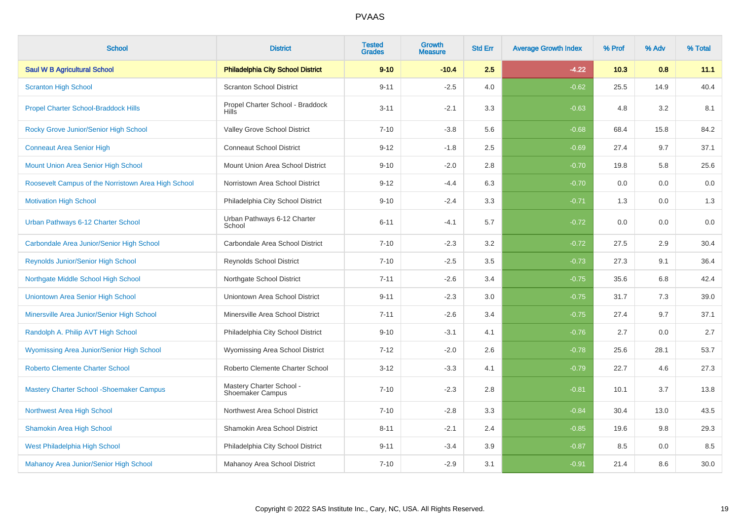| <b>School</b>                                       | <b>District</b>                                     | <b>Tested</b><br><b>Grades</b> | <b>Growth</b><br><b>Measure</b> | <b>Std Err</b> | <b>Average Growth Index</b> | % Prof | % Adv | % Total |
|-----------------------------------------------------|-----------------------------------------------------|--------------------------------|---------------------------------|----------------|-----------------------------|--------|-------|---------|
| <b>Saul W B Agricultural School</b>                 | <b>Philadelphia City School District</b>            | $9 - 10$                       | $-10.4$                         | 2.5            | $-4.22$                     | 10.3   | 0.8   | 11.1    |
| <b>Scranton High School</b>                         | <b>Scranton School District</b>                     | $9 - 11$                       | $-2.5$                          | 4.0            | $-0.62$                     | 25.5   | 14.9  | 40.4    |
| <b>Propel Charter School-Braddock Hills</b>         | Propel Charter School - Braddock<br><b>Hills</b>    | $3 - 11$                       | $-2.1$                          | 3.3            | $-0.63$                     | 4.8    | 3.2   | 8.1     |
| Rocky Grove Junior/Senior High School               | Valley Grove School District                        | $7 - 10$                       | $-3.8$                          | 5.6            | $-0.68$                     | 68.4   | 15.8  | 84.2    |
| <b>Conneaut Area Senior High</b>                    | <b>Conneaut School District</b>                     | $9 - 12$                       | $-1.8$                          | 2.5            | $-0.69$                     | 27.4   | 9.7   | 37.1    |
| Mount Union Area Senior High School                 | Mount Union Area School District                    | $9 - 10$                       | $-2.0$                          | 2.8            | $-0.70$                     | 19.8   | 5.8   | 25.6    |
| Roosevelt Campus of the Norristown Area High School | Norristown Area School District                     | $9 - 12$                       | $-4.4$                          | 6.3            | $-0.70$                     | 0.0    | 0.0   | 0.0     |
| <b>Motivation High School</b>                       | Philadelphia City School District                   | $9 - 10$                       | $-2.4$                          | 3.3            | $-0.71$                     | 1.3    | 0.0   | 1.3     |
| Urban Pathways 6-12 Charter School                  | Urban Pathways 6-12 Charter<br>School               | $6 - 11$                       | $-4.1$                          | 5.7            | $-0.72$                     | 0.0    | 0.0   | 0.0     |
| Carbondale Area Junior/Senior High School           | Carbondale Area School District                     | $7 - 10$                       | $-2.3$                          | 3.2            | $-0.72$                     | 27.5   | 2.9   | 30.4    |
| Reynolds Junior/Senior High School                  | Reynolds School District                            | $7 - 10$                       | $-2.5$                          | 3.5            | $-0.73$                     | 27.3   | 9.1   | 36.4    |
| Northgate Middle School High School                 | Northgate School District                           | $7 - 11$                       | $-2.6$                          | 3.4            | $-0.75$                     | 35.6   | 6.8   | 42.4    |
| Uniontown Area Senior High School                   | Uniontown Area School District                      | $9 - 11$                       | $-2.3$                          | 3.0            | $-0.75$                     | 31.7   | 7.3   | 39.0    |
| Minersville Area Junior/Senior High School          | Minersville Area School District                    | $7 - 11$                       | $-2.6$                          | 3.4            | $-0.75$                     | 27.4   | 9.7   | 37.1    |
| Randolph A. Philip AVT High School                  | Philadelphia City School District                   | $9 - 10$                       | $-3.1$                          | 4.1            | $-0.76$                     | 2.7    | 0.0   | 2.7     |
| Wyomissing Area Junior/Senior High School           | Wyomissing Area School District                     | $7 - 12$                       | $-2.0$                          | 2.6            | $-0.78$                     | 25.6   | 28.1  | 53.7    |
| <b>Roberto Clemente Charter School</b>              | Roberto Clemente Charter School                     | $3 - 12$                       | $-3.3$                          | 4.1            | $-0.79$                     | 22.7   | 4.6   | 27.3    |
| <b>Mastery Charter School - Shoemaker Campus</b>    | Mastery Charter School -<br><b>Shoemaker Campus</b> | $7 - 10$                       | $-2.3$                          | 2.8            | $-0.81$                     | 10.1   | 3.7   | 13.8    |
| Northwest Area High School                          | Northwest Area School District                      | $7 - 10$                       | $-2.8$                          | 3.3            | $-0.84$                     | 30.4   | 13.0  | 43.5    |
| <b>Shamokin Area High School</b>                    | Shamokin Area School District                       | $8 - 11$                       | $-2.1$                          | 2.4            | $-0.85$                     | 19.6   | 9.8   | 29.3    |
| West Philadelphia High School                       | Philadelphia City School District                   | $9 - 11$                       | $-3.4$                          | 3.9            | $-0.87$                     | 8.5    | 0.0   | 8.5     |
| Mahanoy Area Junior/Senior High School              | Mahanoy Area School District                        | $7 - 10$                       | $-2.9$                          | 3.1            | $-0.91$                     | 21.4   | 8.6   | 30.0    |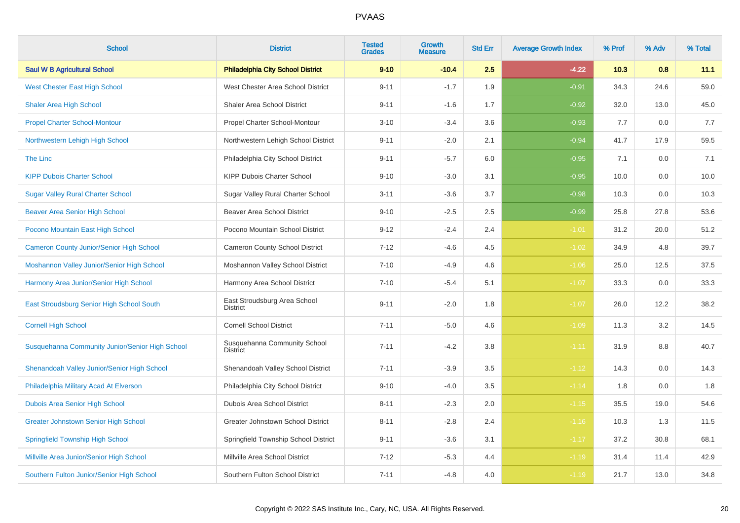| <b>School</b>                                   | <b>District</b>                                 | <b>Tested</b><br><b>Grades</b> | <b>Growth</b><br><b>Measure</b> | <b>Std Err</b> | <b>Average Growth Index</b> | % Prof | % Adv | % Total |
|-------------------------------------------------|-------------------------------------------------|--------------------------------|---------------------------------|----------------|-----------------------------|--------|-------|---------|
| <b>Saul W B Agricultural School</b>             | <b>Philadelphia City School District</b>        | $9 - 10$                       | $-10.4$                         | 2.5            | $-4.22$                     | 10.3   | 0.8   | 11.1    |
| <b>West Chester East High School</b>            | West Chester Area School District               | $9 - 11$                       | $-1.7$                          | 1.9            | $-0.91$                     | 34.3   | 24.6  | 59.0    |
| <b>Shaler Area High School</b>                  | Shaler Area School District                     | $9 - 11$                       | $-1.6$                          | 1.7            | $-0.92$                     | 32.0   | 13.0  | 45.0    |
| <b>Propel Charter School-Montour</b>            | Propel Charter School-Montour                   | $3 - 10$                       | $-3.4$                          | 3.6            | $-0.93$                     | 7.7    | 0.0   | 7.7     |
| Northwestern Lehigh High School                 | Northwestern Lehigh School District             | $9 - 11$                       | $-2.0$                          | 2.1            | $-0.94$                     | 41.7   | 17.9  | 59.5    |
| <b>The Linc</b>                                 | Philadelphia City School District               | $9 - 11$                       | $-5.7$                          | 6.0            | $-0.95$                     | 7.1    | 0.0   | 7.1     |
| <b>KIPP Dubois Charter School</b>               | KIPP Dubois Charter School                      | $9 - 10$                       | $-3.0$                          | 3.1            | $-0.95$                     | 10.0   | 0.0   | 10.0    |
| <b>Sugar Valley Rural Charter School</b>        | Sugar Valley Rural Charter School               | $3 - 11$                       | $-3.6$                          | 3.7            | $-0.98$                     | 10.3   | 0.0   | 10.3    |
| <b>Beaver Area Senior High School</b>           | <b>Beaver Area School District</b>              | $9 - 10$                       | $-2.5$                          | 2.5            | $-0.99$                     | 25.8   | 27.8  | 53.6    |
| Pocono Mountain East High School                | Pocono Mountain School District                 | $9 - 12$                       | $-2.4$                          | 2.4            | $-1.01$                     | 31.2   | 20.0  | 51.2    |
| <b>Cameron County Junior/Senior High School</b> | Cameron County School District                  | $7 - 12$                       | $-4.6$                          | 4.5            | $-1.02$                     | 34.9   | 4.8   | 39.7    |
| Moshannon Valley Junior/Senior High School      | Moshannon Valley School District                | $7 - 10$                       | $-4.9$                          | 4.6            | $-1.06$                     | 25.0   | 12.5  | 37.5    |
| Harmony Area Junior/Senior High School          | Harmony Area School District                    | $7 - 10$                       | $-5.4$                          | 5.1            | $-1.07$                     | 33.3   | 0.0   | 33.3    |
| East Stroudsburg Senior High School South       | East Stroudsburg Area School<br><b>District</b> | $9 - 11$                       | $-2.0$                          | 1.8            | $-1.07$                     | 26.0   | 12.2  | 38.2    |
| <b>Cornell High School</b>                      | <b>Cornell School District</b>                  | $7 - 11$                       | $-5.0$                          | 4.6            | $-1.09$                     | 11.3   | 3.2   | 14.5    |
| Susquehanna Community Junior/Senior High School | Susquehanna Community School<br><b>District</b> | $7 - 11$                       | $-4.2$                          | 3.8            | $-1.11$                     | 31.9   | 8.8   | 40.7    |
| Shenandoah Valley Junior/Senior High School     | Shenandoah Valley School District               | $7 - 11$                       | $-3.9$                          | 3.5            | $-1.12$                     | 14.3   | 0.0   | 14.3    |
| Philadelphia Military Acad At Elverson          | Philadelphia City School District               | $9 - 10$                       | $-4.0$                          | 3.5            | $-1.14$                     | 1.8    | 0.0   | 1.8     |
| Dubois Area Senior High School                  | Dubois Area School District                     | $8 - 11$                       | $-2.3$                          | 2.0            | $-1.15$                     | 35.5   | 19.0  | 54.6    |
| <b>Greater Johnstown Senior High School</b>     | Greater Johnstown School District               | $8 - 11$                       | $-2.8$                          | 2.4            | $-1.16$                     | 10.3   | 1.3   | 11.5    |
| <b>Springfield Township High School</b>         | Springfield Township School District            | $9 - 11$                       | $-3.6$                          | 3.1            | $-1.17$                     | 37.2   | 30.8  | 68.1    |
| Millville Area Junior/Senior High School        | Millville Area School District                  | $7 - 12$                       | $-5.3$                          | 4.4            | $-1.19$                     | 31.4   | 11.4  | 42.9    |
| Southern Fulton Junior/Senior High School       | Southern Fulton School District                 | $7 - 11$                       | $-4.8$                          | 4.0            | $-1.19$                     | 21.7   | 13.0  | 34.8    |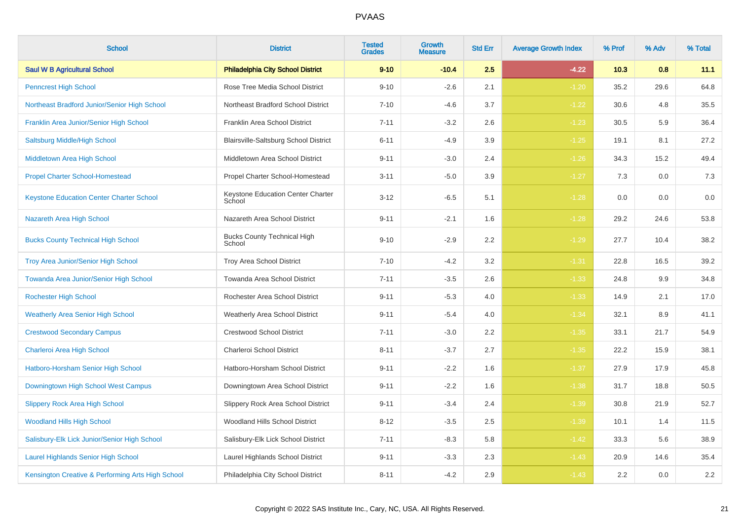| <b>School</b>                                     | <b>District</b>                              | <b>Tested</b><br><b>Grades</b> | Growth<br><b>Measure</b> | <b>Std Err</b> | <b>Average Growth Index</b> | % Prof | % Adv | % Total |
|---------------------------------------------------|----------------------------------------------|--------------------------------|--------------------------|----------------|-----------------------------|--------|-------|---------|
| <b>Saul W B Agricultural School</b>               | <b>Philadelphia City School District</b>     | $9 - 10$                       | $-10.4$                  | 2.5            | $-4.22$                     | 10.3   | 0.8   | 11.1    |
| <b>Penncrest High School</b>                      | Rose Tree Media School District              | $9 - 10$                       | $-2.6$                   | 2.1            | $-1.20$                     | 35.2   | 29.6  | 64.8    |
| Northeast Bradford Junior/Senior High School      | Northeast Bradford School District           | $7 - 10$                       | $-4.6$                   | 3.7            | $-1.22$                     | 30.6   | 4.8   | 35.5    |
| Franklin Area Junior/Senior High School           | Franklin Area School District                | $7 - 11$                       | $-3.2$                   | 2.6            | $-1.23$                     | 30.5   | 5.9   | 36.4    |
| Saltsburg Middle/High School                      | Blairsville-Saltsburg School District        | $6 - 11$                       | $-4.9$                   | 3.9            | $-1.25$                     | 19.1   | 8.1   | 27.2    |
| Middletown Area High School                       | Middletown Area School District              | $9 - 11$                       | $-3.0$                   | 2.4            | $-1.26$                     | 34.3   | 15.2  | 49.4    |
| <b>Propel Charter School-Homestead</b>            | Propel Charter School-Homestead              | $3 - 11$                       | $-5.0$                   | 3.9            | $-1.27$                     | 7.3    | 0.0   | $7.3$   |
| <b>Keystone Education Center Charter School</b>   | Keystone Education Center Charter<br>School  | $3 - 12$                       | $-6.5$                   | 5.1            | $-1.28$                     | 0.0    | 0.0   | 0.0     |
| Nazareth Area High School                         | Nazareth Area School District                | $9 - 11$                       | $-2.1$                   | 1.6            | $-1.28$                     | 29.2   | 24.6  | 53.8    |
| <b>Bucks County Technical High School</b>         | <b>Bucks County Technical High</b><br>School | $9 - 10$                       | $-2.9$                   | 2.2            | $-1.29$                     | 27.7   | 10.4  | 38.2    |
| <b>Troy Area Junior/Senior High School</b>        | Troy Area School District                    | $7 - 10$                       | $-4.2$                   | 3.2            | $-1.31$                     | 22.8   | 16.5  | 39.2    |
| Towanda Area Junior/Senior High School            | Towanda Area School District                 | $7 - 11$                       | $-3.5$                   | 2.6            | $-1.33$                     | 24.8   | 9.9   | 34.8    |
| <b>Rochester High School</b>                      | Rochester Area School District               | $9 - 11$                       | $-5.3$                   | 4.0            | $-1.33$                     | 14.9   | 2.1   | 17.0    |
| <b>Weatherly Area Senior High School</b>          | <b>Weatherly Area School District</b>        | $9 - 11$                       | $-5.4$                   | 4.0            | $-1.34$                     | 32.1   | 8.9   | 41.1    |
| <b>Crestwood Secondary Campus</b>                 | <b>Crestwood School District</b>             | $7 - 11$                       | $-3.0$                   | 2.2            | $-1.35$                     | 33.1   | 21.7  | 54.9    |
| Charleroi Area High School                        | Charleroi School District                    | $8 - 11$                       | $-3.7$                   | 2.7            | $-1.35$                     | 22.2   | 15.9  | 38.1    |
| Hatboro-Horsham Senior High School                | Hatboro-Horsham School District              | $9 - 11$                       | $-2.2$                   | 1.6            | $-1.37$                     | 27.9   | 17.9  | 45.8    |
| Downingtown High School West Campus               | Downingtown Area School District             | $9 - 11$                       | $-2.2$                   | 1.6            | $-1.38$                     | 31.7   | 18.8  | 50.5    |
| <b>Slippery Rock Area High School</b>             | Slippery Rock Area School District           | $9 - 11$                       | $-3.4$                   | 2.4            | $-1.39$                     | 30.8   | 21.9  | 52.7    |
| <b>Woodland Hills High School</b>                 | Woodland Hills School District               | $8 - 12$                       | $-3.5$                   | 2.5            | $-1.39$                     | 10.1   | 1.4   | 11.5    |
| Salisbury-Elk Lick Junior/Senior High School      | Salisbury-Elk Lick School District           | $7 - 11$                       | $-8.3$                   | 5.8            | $-1.42$                     | 33.3   | 5.6   | 38.9    |
| <b>Laurel Highlands Senior High School</b>        | Laurel Highlands School District             | $9 - 11$                       | $-3.3$                   | 2.3            | $-1.43$                     | 20.9   | 14.6  | 35.4    |
| Kensington Creative & Performing Arts High School | Philadelphia City School District            | $8 - 11$                       | $-4.2$                   | 2.9            | $-1.43$                     | 2.2    | 0.0   | $2.2\,$ |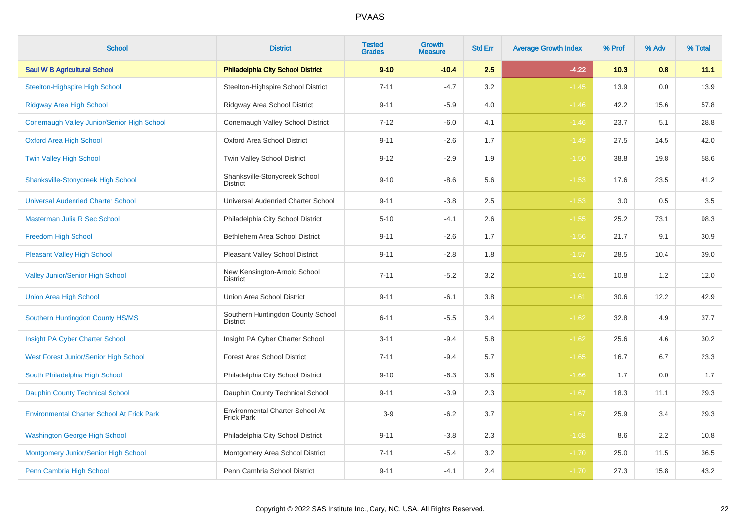| <b>School</b>                                     | <b>District</b>                                      | <b>Tested</b><br><b>Grades</b> | <b>Growth</b><br><b>Measure</b> | <b>Std Err</b> | <b>Average Growth Index</b> | % Prof | % Adv | % Total |
|---------------------------------------------------|------------------------------------------------------|--------------------------------|---------------------------------|----------------|-----------------------------|--------|-------|---------|
| <b>Saul W B Agricultural School</b>               | <b>Philadelphia City School District</b>             | $9 - 10$                       | $-10.4$                         | 2.5            | $-4.22$                     | 10.3   | 0.8   | 11.1    |
| <b>Steelton-Highspire High School</b>             | Steelton-Highspire School District                   | $7 - 11$                       | $-4.7$                          | 3.2            | $-1.45$                     | 13.9   | 0.0   | 13.9    |
| <b>Ridgway Area High School</b>                   | Ridgway Area School District                         | $9 - 11$                       | $-5.9$                          | 4.0            | $-1.46$                     | 42.2   | 15.6  | 57.8    |
| Conemaugh Valley Junior/Senior High School        | Conemaugh Valley School District                     | $7 - 12$                       | $-6.0$                          | 4.1            | $-1.46$                     | 23.7   | 5.1   | 28.8    |
| <b>Oxford Area High School</b>                    | <b>Oxford Area School District</b>                   | $9 - 11$                       | $-2.6$                          | 1.7            | $-1.49$                     | 27.5   | 14.5  | 42.0    |
| <b>Twin Valley High School</b>                    | Twin Valley School District                          | $9 - 12$                       | $-2.9$                          | 1.9            | $-1.50$                     | 38.8   | 19.8  | 58.6    |
| <b>Shanksville-Stonycreek High School</b>         | Shanksville-Stonycreek School<br><b>District</b>     | $9 - 10$                       | $-8.6$                          | 5.6            | $-1.53$                     | 17.6   | 23.5  | 41.2    |
| <b>Universal Audenried Charter School</b>         | Universal Audenried Charter School                   | $9 - 11$                       | $-3.8$                          | 2.5            | $-1.53$                     | 3.0    | 0.5   | 3.5     |
| Masterman Julia R Sec School                      | Philadelphia City School District                    | $5 - 10$                       | $-4.1$                          | 2.6            | $-1.55$                     | 25.2   | 73.1  | 98.3    |
| Freedom High School                               | Bethlehem Area School District                       | $9 - 11$                       | $-2.6$                          | 1.7            | $-1.56$                     | 21.7   | 9.1   | 30.9    |
| <b>Pleasant Valley High School</b>                | <b>Pleasant Valley School District</b>               | $9 - 11$                       | $-2.8$                          | 1.8            | $-1.57$                     | 28.5   | 10.4  | 39.0    |
| <b>Valley Junior/Senior High School</b>           | New Kensington-Arnold School<br><b>District</b>      | $7 - 11$                       | $-5.2$                          | 3.2            | $-1.61$                     | 10.8   | 1.2   | 12.0    |
| <b>Union Area High School</b>                     | Union Area School District                           | $9 - 11$                       | $-6.1$                          | 3.8            | $-1.61$                     | 30.6   | 12.2  | 42.9    |
| Southern Huntingdon County HS/MS                  | Southern Huntingdon County School<br><b>District</b> | $6 - 11$                       | $-5.5$                          | 3.4            | $-1.62$                     | 32.8   | 4.9   | 37.7    |
| Insight PA Cyber Charter School                   | Insight PA Cyber Charter School                      | $3 - 11$                       | $-9.4$                          | 5.8            | $-1.62$                     | 25.6   | 4.6   | 30.2    |
| West Forest Junior/Senior High School             | <b>Forest Area School District</b>                   | $7 - 11$                       | $-9.4$                          | 5.7            | $-1.65$                     | 16.7   | 6.7   | 23.3    |
| South Philadelphia High School                    | Philadelphia City School District                    | $9 - 10$                       | $-6.3$                          | 3.8            | $-1.66$                     | 1.7    | 0.0   | 1.7     |
| <b>Dauphin County Technical School</b>            | Dauphin County Technical School                      | $9 - 11$                       | $-3.9$                          | 2.3            | $-1.67$                     | 18.3   | 11.1  | 29.3    |
| <b>Environmental Charter School At Frick Park</b> | Environmental Charter School At<br><b>Frick Park</b> | $3-9$                          | $-6.2$                          | 3.7            | $-1.67$                     | 25.9   | 3.4   | 29.3    |
| <b>Washington George High School</b>              | Philadelphia City School District                    | $9 - 11$                       | $-3.8$                          | 2.3            | $-1.68$                     | 8.6    | 2.2   | 10.8    |
| Montgomery Junior/Senior High School              | Montgomery Area School District                      | $7 - 11$                       | $-5.4$                          | $3.2\,$        | $-1.70$                     | 25.0   | 11.5  | 36.5    |
| Penn Cambria High School                          | Penn Cambria School District                         | $9 - 11$                       | $-4.1$                          | 2.4            | $-1.70$                     | 27.3   | 15.8  | 43.2    |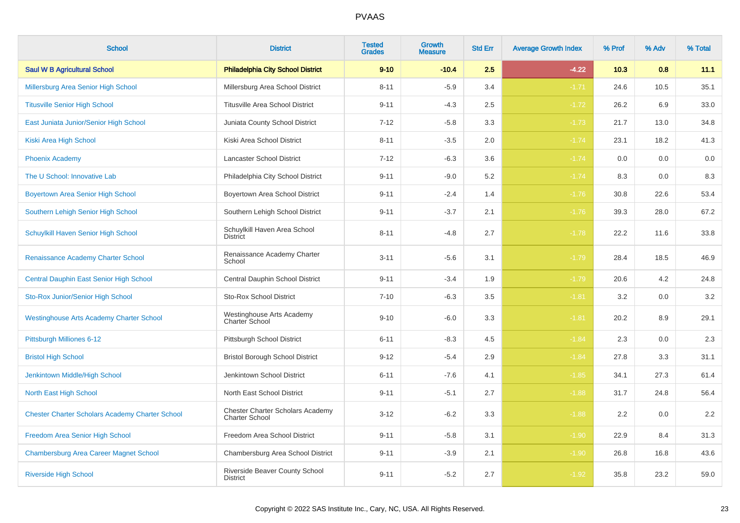| <b>School</b>                                          | <b>District</b>                                                  | <b>Tested</b><br><b>Grades</b> | Growth<br><b>Measure</b> | <b>Std Err</b> | <b>Average Growth Index</b> | % Prof | % Adv | % Total |
|--------------------------------------------------------|------------------------------------------------------------------|--------------------------------|--------------------------|----------------|-----------------------------|--------|-------|---------|
| <b>Saul W B Agricultural School</b>                    | <b>Philadelphia City School District</b>                         | $9 - 10$                       | $-10.4$                  | 2.5            | $-4.22$                     | 10.3   | 0.8   | 11.1    |
| Millersburg Area Senior High School                    | Millersburg Area School District                                 | $8 - 11$                       | $-5.9$                   | 3.4            | $-1.71$                     | 24.6   | 10.5  | 35.1    |
| <b>Titusville Senior High School</b>                   | <b>Titusville Area School District</b>                           | $9 - 11$                       | $-4.3$                   | 2.5            | $-1.72$                     | 26.2   | 6.9   | 33.0    |
| East Juniata Junior/Senior High School                 | Juniata County School District                                   | $7 - 12$                       | $-5.8$                   | 3.3            | $-1.73$                     | 21.7   | 13.0  | 34.8    |
| Kiski Area High School                                 | Kiski Area School District                                       | $8 - 11$                       | $-3.5$                   | 2.0            | $-1.74$                     | 23.1   | 18.2  | 41.3    |
| <b>Phoenix Academy</b>                                 | Lancaster School District                                        | $7 - 12$                       | $-6.3$                   | 3.6            | $-1.74$                     | 0.0    | 0.0   | 0.0     |
| The U School: Innovative Lab                           | Philadelphia City School District                                | $9 - 11$                       | $-9.0$                   | 5.2            | $-1.74$                     | 8.3    | 0.0   | 8.3     |
| <b>Boyertown Area Senior High School</b>               | Boyertown Area School District                                   | $9 - 11$                       | $-2.4$                   | 1.4            | $-1.76$                     | 30.8   | 22.6  | 53.4    |
| Southern Lehigh Senior High School                     | Southern Lehigh School District                                  | $9 - 11$                       | $-3.7$                   | 2.1            | $-1.76$                     | 39.3   | 28.0  | 67.2    |
| Schuylkill Haven Senior High School                    | Schuylkill Haven Area School<br><b>District</b>                  | $8 - 11$                       | $-4.8$                   | 2.7            | $-1.78$                     | 22.2   | 11.6  | 33.8    |
| Renaissance Academy Charter School                     | Renaissance Academy Charter<br>School                            | $3 - 11$                       | $-5.6$                   | 3.1            | $-1.79$                     | 28.4   | 18.5  | 46.9    |
| Central Dauphin East Senior High School                | Central Dauphin School District                                  | $9 - 11$                       | $-3.4$                   | 1.9            | $-1.79$                     | 20.6   | 4.2   | 24.8    |
| Sto-Rox Junior/Senior High School                      | <b>Sto-Rox School District</b>                                   | $7 - 10$                       | $-6.3$                   | 3.5            | $-1.81$                     | 3.2    | 0.0   | 3.2     |
| <b>Westinghouse Arts Academy Charter School</b>        | Westinghouse Arts Academy<br>Charter School                      | $9 - 10$                       | $-6.0$                   | 3.3            | $-1.81$                     | 20.2   | 8.9   | 29.1    |
| Pittsburgh Milliones 6-12                              | Pittsburgh School District                                       | $6 - 11$                       | $-8.3$                   | 4.5            | $-1.84$                     | 2.3    | 0.0   | $2.3\,$ |
| <b>Bristol High School</b>                             | <b>Bristol Borough School District</b>                           | $9 - 12$                       | $-5.4$                   | 2.9            | $-1.84$                     | 27.8   | 3.3   | 31.1    |
| Jenkintown Middle/High School                          | Jenkintown School District                                       | $6 - 11$                       | $-7.6$                   | 4.1            | $-1.85$                     | 34.1   | 27.3  | 61.4    |
| North East High School                                 | North East School District                                       | $9 - 11$                       | $-5.1$                   | 2.7            | $-1.88$                     | 31.7   | 24.8  | 56.4    |
| <b>Chester Charter Scholars Academy Charter School</b> | <b>Chester Charter Scholars Academy</b><br><b>Charter School</b> | $3 - 12$                       | $-6.2$                   | 3.3            | $-1.88$                     | 2.2    | 0.0   | 2.2     |
| Freedom Area Senior High School                        | Freedom Area School District                                     | $9 - 11$                       | $-5.8$                   | 3.1            | $-1.90$                     | 22.9   | 8.4   | 31.3    |
| <b>Chambersburg Area Career Magnet School</b>          | Chambersburg Area School District                                | $9 - 11$                       | $-3.9$                   | 2.1            | $-1.90$                     | 26.8   | 16.8  | 43.6    |
| <b>Riverside High School</b>                           | Riverside Beaver County School<br><b>District</b>                | $9 - 11$                       | $-5.2$                   | 2.7            | $-1.92$                     | 35.8   | 23.2  | 59.0    |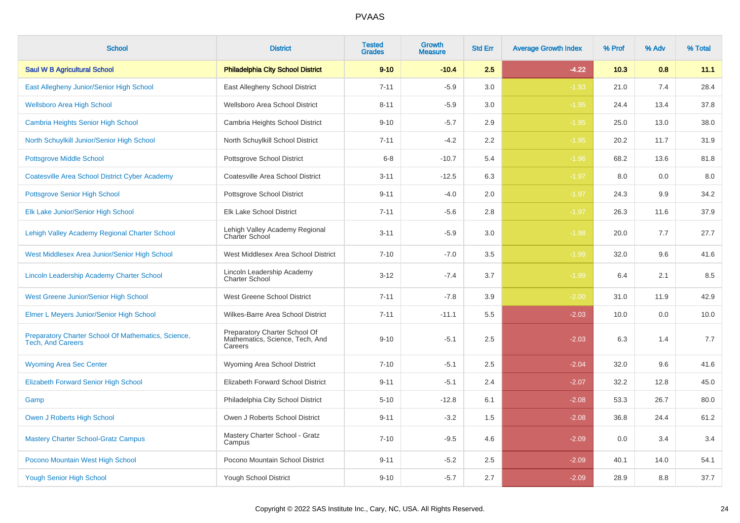| <b>School</b>                                                                   | <b>District</b>                                                             | <b>Tested</b><br><b>Grades</b> | <b>Growth</b><br><b>Measure</b> | <b>Std Err</b> | <b>Average Growth Index</b> | % Prof | % Adv | % Total |
|---------------------------------------------------------------------------------|-----------------------------------------------------------------------------|--------------------------------|---------------------------------|----------------|-----------------------------|--------|-------|---------|
| <b>Saul W B Agricultural School</b>                                             | <b>Philadelphia City School District</b>                                    | $9 - 10$                       | $-10.4$                         | 2.5            | $-4.22$                     | 10.3   | 0.8   | 11.1    |
| East Allegheny Junior/Senior High School                                        | East Allegheny School District                                              | $7 - 11$                       | $-5.9$                          | 3.0            | $-1.93$                     | 21.0   | 7.4   | 28.4    |
| <b>Wellsboro Area High School</b>                                               | Wellsboro Area School District                                              | $8 - 11$                       | $-5.9$                          | 3.0            | $-1.95$                     | 24.4   | 13.4  | 37.8    |
| <b>Cambria Heights Senior High School</b>                                       | Cambria Heights School District                                             | $9 - 10$                       | $-5.7$                          | 2.9            | $-1.95$                     | 25.0   | 13.0  | 38.0    |
| North Schuylkill Junior/Senior High School                                      | North Schuylkill School District                                            | $7 - 11$                       | $-4.2$                          | 2.2            | $-1.95$                     | 20.2   | 11.7  | 31.9    |
| <b>Pottsgrove Middle School</b>                                                 | Pottsgrove School District                                                  | $6 - 8$                        | $-10.7$                         | 5.4            | $-1.96$                     | 68.2   | 13.6  | 81.8    |
| <b>Coatesville Area School District Cyber Academy</b>                           | Coatesville Area School District                                            | $3 - 11$                       | $-12.5$                         | 6.3            | $-1.97$                     | 8.0    | 0.0   | 8.0     |
| Pottsgrove Senior High School                                                   | Pottsgrove School District                                                  | $9 - 11$                       | $-4.0$                          | 2.0            | $-1.97$                     | 24.3   | 9.9   | 34.2    |
| Elk Lake Junior/Senior High School                                              | Elk Lake School District                                                    | $7 - 11$                       | $-5.6$                          | 2.8            | $-1.97$                     | 26.3   | 11.6  | 37.9    |
| Lehigh Valley Academy Regional Charter School                                   | Lehigh Valley Academy Regional<br>Charter School                            | $3 - 11$                       | $-5.9$                          | 3.0            | $-1.98$                     | 20.0   | 7.7   | 27.7    |
| West Middlesex Area Junior/Senior High School                                   | West Middlesex Area School District                                         | $7 - 10$                       | $-7.0$                          | 3.5            | $-1.99$                     | 32.0   | 9.6   | 41.6    |
| Lincoln Leadership Academy Charter School                                       | Lincoln Leadership Academy<br>Charter School                                | $3 - 12$                       | $-7.4$                          | 3.7            | $-1.99$                     | 6.4    | 2.1   | 8.5     |
| West Greene Junior/Senior High School                                           | West Greene School District                                                 | $7 - 11$                       | $-7.8$                          | 3.9            | $-2.00$                     | 31.0   | 11.9  | 42.9    |
| Elmer L Meyers Junior/Senior High School                                        | Wilkes-Barre Area School District                                           | $7 - 11$                       | $-11.1$                         | 5.5            | $-2.03$                     | 10.0   | 0.0   | 10.0    |
| Preparatory Charter School Of Mathematics, Science,<br><b>Tech, And Careers</b> | Preparatory Charter School Of<br>Mathematics, Science, Tech, And<br>Careers | $9 - 10$                       | $-5.1$                          | 2.5            | $-2.03$                     | 6.3    | 1.4   | 7.7     |
| <b>Wyoming Area Sec Center</b>                                                  | Wyoming Area School District                                                | $7 - 10$                       | $-5.1$                          | 2.5            | $-2.04$                     | 32.0   | 9.6   | 41.6    |
| <b>Elizabeth Forward Senior High School</b>                                     | Elizabeth Forward School District                                           | $9 - 11$                       | $-5.1$                          | 2.4            | $-2.07$                     | 32.2   | 12.8  | 45.0    |
| Gamp                                                                            | Philadelphia City School District                                           | $5 - 10$                       | $-12.8$                         | 6.1            | $-2.08$                     | 53.3   | 26.7  | 80.0    |
| Owen J Roberts High School                                                      | Owen J Roberts School District                                              | $9 - 11$                       | $-3.2$                          | 1.5            | $-2.08$                     | 36.8   | 24.4  | 61.2    |
| <b>Mastery Charter School-Gratz Campus</b>                                      | Mastery Charter School - Gratz<br>Campus                                    | $7 - 10$                       | $-9.5$                          | 4.6            | $-2.09$                     | 0.0    | 3.4   | 3.4     |
| Pocono Mountain West High School                                                | Pocono Mountain School District                                             | $9 - 11$                       | $-5.2$                          | 2.5            | $-2.09$                     | 40.1   | 14.0  | 54.1    |
| <b>Yough Senior High School</b>                                                 | Yough School District                                                       | $9 - 10$                       | $-5.7$                          | 2.7            | $-2.09$                     | 28.9   | 8.8   | 37.7    |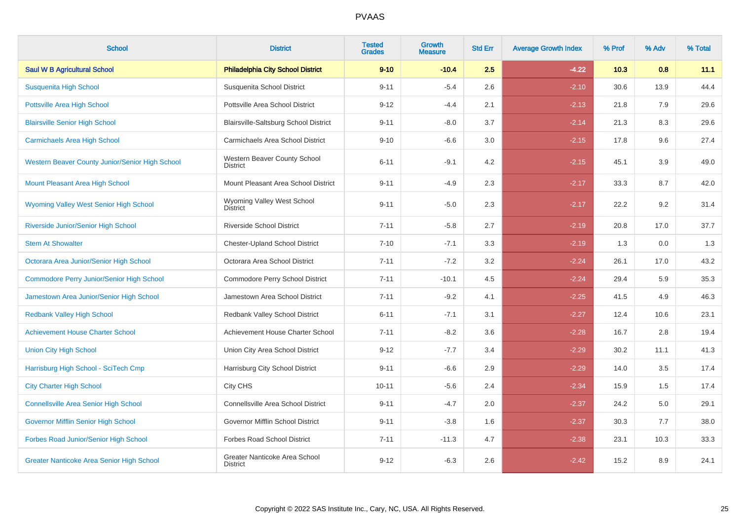| <b>School</b>                                    | <b>District</b>                                  | <b>Tested</b><br><b>Grades</b> | Growth<br><b>Measure</b> | <b>Std Err</b> | <b>Average Growth Index</b> | % Prof | % Adv | % Total |
|--------------------------------------------------|--------------------------------------------------|--------------------------------|--------------------------|----------------|-----------------------------|--------|-------|---------|
| <b>Saul W B Agricultural School</b>              | <b>Philadelphia City School District</b>         | $9 - 10$                       | $-10.4$                  | 2.5            | $-4.22$                     | 10.3   | 0.8   | 11.1    |
| Susquenita High School                           | Susquenita School District                       | $9 - 11$                       | $-5.4$                   | 2.6            | $-2.10$                     | 30.6   | 13.9  | 44.4    |
| <b>Pottsville Area High School</b>               | Pottsville Area School District                  | $9 - 12$                       | $-4.4$                   | 2.1            | $-2.13$                     | 21.8   | 7.9   | 29.6    |
| <b>Blairsville Senior High School</b>            | Blairsville-Saltsburg School District            | $9 - 11$                       | $-8.0$                   | 3.7            | $-2.14$                     | 21.3   | 8.3   | 29.6    |
| <b>Carmichaels Area High School</b>              | Carmichaels Area School District                 | $9 - 10$                       | $-6.6$                   | 3.0            | $-2.15$                     | 17.8   | 9.6   | 27.4    |
| Western Beaver County Junior/Senior High School  | Western Beaver County School<br><b>District</b>  | $6 - 11$                       | $-9.1$                   | 4.2            | $-2.15$                     | 45.1   | 3.9   | 49.0    |
| Mount Pleasant Area High School                  | Mount Pleasant Area School District              | $9 - 11$                       | $-4.9$                   | 2.3            | $-2.17$                     | 33.3   | 8.7   | 42.0    |
| Wyoming Valley West Senior High School           | Wyoming Valley West School<br><b>District</b>    | $9 - 11$                       | $-5.0$                   | 2.3            | $-2.17$                     | 22.2   | 9.2   | 31.4    |
| Riverside Junior/Senior High School              | <b>Riverside School District</b>                 | $7 - 11$                       | $-5.8$                   | 2.7            | $-2.19$                     | 20.8   | 17.0  | 37.7    |
| <b>Stem At Showalter</b>                         | <b>Chester-Upland School District</b>            | $7 - 10$                       | $-7.1$                   | 3.3            | $-2.19$                     | 1.3    | 0.0   | 1.3     |
| Octorara Area Junior/Senior High School          | Octorara Area School District                    | $7 - 11$                       | $-7.2$                   | 3.2            | $-2.24$                     | 26.1   | 17.0  | 43.2    |
| <b>Commodore Perry Junior/Senior High School</b> | Commodore Perry School District                  | $7 - 11$                       | $-10.1$                  | 4.5            | $-2.24$                     | 29.4   | 5.9   | 35.3    |
| Jamestown Area Junior/Senior High School         | Jamestown Area School District                   | $7 - 11$                       | $-9.2$                   | 4.1            | $-2.25$                     | 41.5   | 4.9   | 46.3    |
| <b>Redbank Valley High School</b>                | Redbank Valley School District                   | $6 - 11$                       | $-7.1$                   | 3.1            | $-2.27$                     | 12.4   | 10.6  | 23.1    |
| <b>Achievement House Charter School</b>          | Achievement House Charter School                 | $7 - 11$                       | $-8.2$                   | 3.6            | $-2.28$                     | 16.7   | 2.8   | 19.4    |
| <b>Union City High School</b>                    | Union City Area School District                  | $9 - 12$                       | $-7.7$                   | 3.4            | $-2.29$                     | 30.2   | 11.1  | 41.3    |
| Harrisburg High School - SciTech Cmp             | Harrisburg City School District                  | $9 - 11$                       | $-6.6$                   | 2.9            | $-2.29$                     | 14.0   | 3.5   | 17.4    |
| <b>City Charter High School</b>                  | City CHS                                         | $10 - 11$                      | $-5.6$                   | 2.4            | $-2.34$                     | 15.9   | 1.5   | 17.4    |
| <b>Connellsville Area Senior High School</b>     | Connellsville Area School District               | $9 - 11$                       | $-4.7$                   | 2.0            | $-2.37$                     | 24.2   | 5.0   | 29.1    |
| Governor Mifflin Senior High School              | Governor Mifflin School District                 | $9 - 11$                       | $-3.8$                   | 1.6            | $-2.37$                     | 30.3   | 7.7   | 38.0    |
| Forbes Road Junior/Senior High School            | <b>Forbes Road School District</b>               | $7 - 11$                       | $-11.3$                  | 4.7            | $-2.38$                     | 23.1   | 10.3  | 33.3    |
| <b>Greater Nanticoke Area Senior High School</b> | Greater Nanticoke Area School<br><b>District</b> | $9 - 12$                       | $-6.3$                   | 2.6            | $-2.42$                     | 15.2   | 8.9   | 24.1    |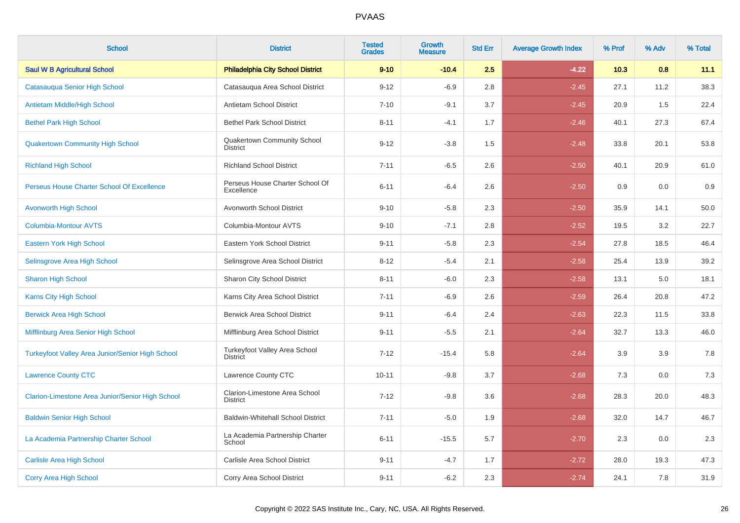| <b>School</b>                                    | <b>District</b>                                  | <b>Tested</b><br><b>Grades</b> | <b>Growth</b><br><b>Measure</b> | <b>Std Err</b> | <b>Average Growth Index</b> | % Prof | % Adv | % Total |
|--------------------------------------------------|--------------------------------------------------|--------------------------------|---------------------------------|----------------|-----------------------------|--------|-------|---------|
| <b>Saul W B Agricultural School</b>              | <b>Philadelphia City School District</b>         | $9 - 10$                       | $-10.4$                         | 2.5            | $-4.22$                     | 10.3   | 0.8   | 11.1    |
| Catasauqua Senior High School                    | Catasauqua Area School District                  | $9 - 12$                       | $-6.9$                          | 2.8            | $-2.45$                     | 27.1   | 11.2  | 38.3    |
| Antietam Middle/High School                      | Antietam School District                         | $7 - 10$                       | $-9.1$                          | 3.7            | $-2.45$                     | 20.9   | 1.5   | 22.4    |
| <b>Bethel Park High School</b>                   | <b>Bethel Park School District</b>               | $8 - 11$                       | $-4.1$                          | 1.7            | $-2.46$                     | 40.1   | 27.3  | 67.4    |
| <b>Quakertown Community High School</b>          | Quakertown Community School<br><b>District</b>   | $9 - 12$                       | $-3.8$                          | 1.5            | $-2.48$                     | 33.8   | 20.1  | 53.8    |
| <b>Richland High School</b>                      | <b>Richland School District</b>                  | $7 - 11$                       | $-6.5$                          | 2.6            | $-2.50$                     | 40.1   | 20.9  | 61.0    |
| Perseus House Charter School Of Excellence       | Perseus House Charter School Of<br>Excellence    | $6 - 11$                       | $-6.4$                          | 2.6            | $-2.50$                     | 0.9    | 0.0   | 0.9     |
| <b>Avonworth High School</b>                     | Avonworth School District                        | $9 - 10$                       | $-5.8$                          | 2.3            | $-2.50$                     | 35.9   | 14.1  | 50.0    |
| <b>Columbia-Montour AVTS</b>                     | Columbia-Montour AVTS                            | $9 - 10$                       | $-7.1$                          | 2.8            | $-2.52$                     | 19.5   | 3.2   | 22.7    |
| Eastern York High School                         | Eastern York School District                     | $9 - 11$                       | $-5.8$                          | 2.3            | $-2.54$                     | 27.8   | 18.5  | 46.4    |
| Selinsgrove Area High School                     | Selinsgrove Area School District                 | $8 - 12$                       | $-5.4$                          | 2.1            | $-2.58$                     | 25.4   | 13.9  | 39.2    |
| <b>Sharon High School</b>                        | <b>Sharon City School District</b>               | $8 - 11$                       | $-6.0$                          | 2.3            | $-2.58$                     | 13.1   | 5.0   | 18.1    |
| Karns City High School                           | Karns City Area School District                  | $7 - 11$                       | $-6.9$                          | 2.6            | $-2.59$                     | 26.4   | 20.8  | 47.2    |
| <b>Berwick Area High School</b>                  | <b>Berwick Area School District</b>              | $9 - 11$                       | $-6.4$                          | 2.4            | $-2.63$                     | 22.3   | 11.5  | 33.8    |
| Mifflinburg Area Senior High School              | Mifflinburg Area School District                 | $9 - 11$                       | $-5.5$                          | 2.1            | $-2.64$                     | 32.7   | 13.3  | 46.0    |
| Turkeyfoot Valley Area Junior/Senior High School | Turkeyfoot Valley Area School<br><b>District</b> | $7 - 12$                       | $-15.4$                         | 5.8            | $-2.64$                     | 3.9    | 3.9   | 7.8     |
| <b>Lawrence County CTC</b>                       | Lawrence County CTC                              | $10 - 11$                      | $-9.8$                          | 3.7            | $-2.68$                     | 7.3    | 0.0   | 7.3     |
| Clarion-Limestone Area Junior/Senior High School | Clarion-Limestone Area School<br><b>District</b> | $7 - 12$                       | $-9.8$                          | 3.6            | $-2.68$                     | 28.3   | 20.0  | 48.3    |
| <b>Baldwin Senior High School</b>                | <b>Baldwin-Whitehall School District</b>         | $7 - 11$                       | $-5.0$                          | 1.9            | $-2.68$                     | 32.0   | 14.7  | 46.7    |
| La Academia Partnership Charter School           | La Academia Partnership Charter<br>School        | $6 - 11$                       | $-15.5$                         | 5.7            | $-2.70$                     | 2.3    | 0.0   | 2.3     |
| <b>Carlisle Area High School</b>                 | Carlisle Area School District                    | $9 - 11$                       | $-4.7$                          | 1.7            | $-2.72$                     | 28.0   | 19.3  | 47.3    |
| <b>Corry Area High School</b>                    | Corry Area School District                       | $9 - 11$                       | $-6.2$                          | 2.3            | $-2.74$                     | 24.1   | 7.8   | 31.9    |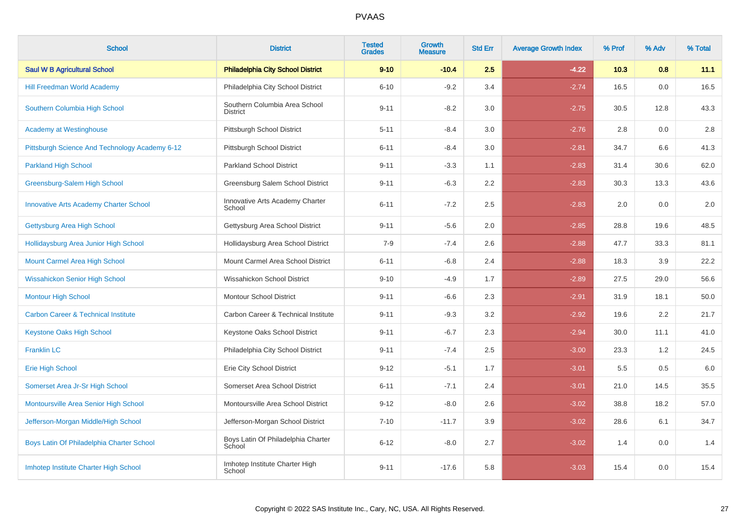| <b>School</b>                                  | <b>District</b>                                  | <b>Tested</b><br><b>Grades</b> | <b>Growth</b><br><b>Measure</b> | <b>Std Err</b> | <b>Average Growth Index</b> | % Prof | % Adv   | % Total |
|------------------------------------------------|--------------------------------------------------|--------------------------------|---------------------------------|----------------|-----------------------------|--------|---------|---------|
| <b>Saul W B Agricultural School</b>            | <b>Philadelphia City School District</b>         | $9 - 10$                       | $-10.4$                         | 2.5            | $-4.22$                     | 10.3   | 0.8     | 11.1    |
| <b>Hill Freedman World Academy</b>             | Philadelphia City School District                | $6 - 10$                       | $-9.2$                          | 3.4            | $-2.74$                     | 16.5   | $0.0\,$ | 16.5    |
| Southern Columbia High School                  | Southern Columbia Area School<br><b>District</b> | $9 - 11$                       | $-8.2$                          | 3.0            | $-2.75$                     | 30.5   | 12.8    | 43.3    |
| <b>Academy at Westinghouse</b>                 | Pittsburgh School District                       | $5 - 11$                       | $-8.4$                          | 3.0            | $-2.76$                     | 2.8    | 0.0     | 2.8     |
| Pittsburgh Science And Technology Academy 6-12 | Pittsburgh School District                       | $6 - 11$                       | $-8.4$                          | 3.0            | $-2.81$                     | 34.7   | 6.6     | 41.3    |
| <b>Parkland High School</b>                    | <b>Parkland School District</b>                  | $9 - 11$                       | $-3.3$                          | 1.1            | $-2.83$                     | 31.4   | 30.6    | 62.0    |
| Greensburg-Salem High School                   | Greensburg Salem School District                 | $9 - 11$                       | $-6.3$                          | 2.2            | $-2.83$                     | 30.3   | 13.3    | 43.6    |
| <b>Innovative Arts Academy Charter School</b>  | Innovative Arts Academy Charter<br>School        | $6 - 11$                       | $-7.2$                          | 2.5            | $-2.83$                     | 2.0    | 0.0     | 2.0     |
| Gettysburg Area High School                    | Gettysburg Area School District                  | $9 - 11$                       | $-5.6$                          | 2.0            | $-2.85$                     | 28.8   | 19.6    | 48.5    |
| Hollidaysburg Area Junior High School          | Hollidaysburg Area School District               | $7 - 9$                        | $-7.4$                          | 2.6            | $-2.88$                     | 47.7   | 33.3    | 81.1    |
| Mount Carmel Area High School                  | Mount Carmel Area School District                | $6 - 11$                       | $-6.8$                          | 2.4            | $-2.88$                     | 18.3   | 3.9     | 22.2    |
| <b>Wissahickon Senior High School</b>          | Wissahickon School District                      | $9 - 10$                       | $-4.9$                          | 1.7            | $-2.89$                     | 27.5   | 29.0    | 56.6    |
| <b>Montour High School</b>                     | Montour School District                          | $9 - 11$                       | $-6.6$                          | 2.3            | $-2.91$                     | 31.9   | 18.1    | 50.0    |
| <b>Carbon Career &amp; Technical Institute</b> | Carbon Career & Technical Institute              | $9 - 11$                       | $-9.3$                          | 3.2            | $-2.92$                     | 19.6   | 2.2     | 21.7    |
| <b>Keystone Oaks High School</b>               | Keystone Oaks School District                    | $9 - 11$                       | $-6.7$                          | 2.3            | $-2.94$                     | 30.0   | 11.1    | 41.0    |
| <b>Franklin LC</b>                             | Philadelphia City School District                | $9 - 11$                       | $-7.4$                          | 2.5            | $-3.00$                     | 23.3   | 1.2     | 24.5    |
| <b>Erie High School</b>                        | Erie City School District                        | $9 - 12$                       | $-5.1$                          | 1.7            | $-3.01$                     | 5.5    | 0.5     | 6.0     |
| Somerset Area Jr-Sr High School                | Somerset Area School District                    | $6 - 11$                       | $-7.1$                          | 2.4            | $-3.01$                     | 21.0   | 14.5    | 35.5    |
| Montoursville Area Senior High School          | Montoursville Area School District               | $9 - 12$                       | $-8.0$                          | 2.6            | $-3.02$                     | 38.8   | 18.2    | 57.0    |
| Jefferson-Morgan Middle/High School            | Jefferson-Morgan School District                 | $7 - 10$                       | $-11.7$                         | 3.9            | $-3.02$                     | 28.6   | 6.1     | 34.7    |
| Boys Latin Of Philadelphia Charter School      | Boys Latin Of Philadelphia Charter<br>School     | $6 - 12$                       | $-8.0$                          | 2.7            | $-3.02$                     | 1.4    | 0.0     | 1.4     |
| Imhotep Institute Charter High School          | Imhotep Institute Charter High<br>School         | $9 - 11$                       | $-17.6$                         | 5.8            | $-3.03$                     | 15.4   | 0.0     | 15.4    |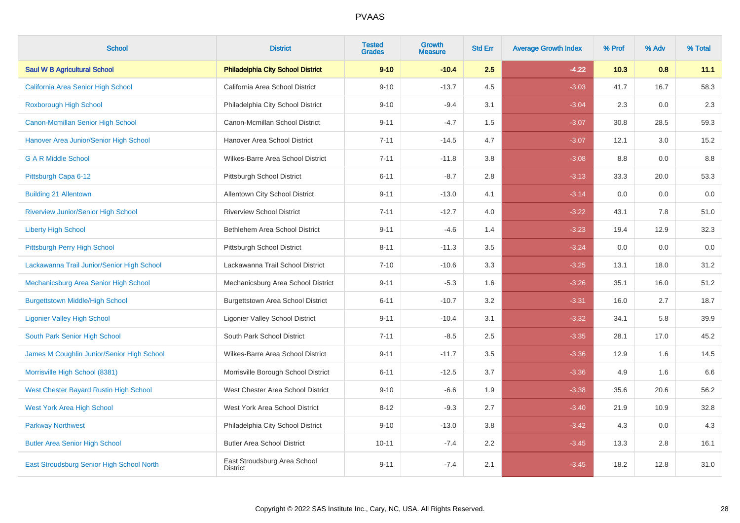| <b>School</b>                                 | <b>District</b>                                 | <b>Tested</b><br><b>Grades</b> | <b>Growth</b><br><b>Measure</b> | <b>Std Err</b> | <b>Average Growth Index</b> | % Prof | % Adv | % Total |
|-----------------------------------------------|-------------------------------------------------|--------------------------------|---------------------------------|----------------|-----------------------------|--------|-------|---------|
| <b>Saul W B Agricultural School</b>           | <b>Philadelphia City School District</b>        | $9 - 10$                       | $-10.4$                         | 2.5            | $-4.22$                     | 10.3   | 0.8   | 11.1    |
| California Area Senior High School            | California Area School District                 | $9 - 10$                       | $-13.7$                         | 4.5            | $-3.03$                     | 41.7   | 16.7  | 58.3    |
| Roxborough High School                        | Philadelphia City School District               | $9 - 10$                       | $-9.4$                          | 3.1            | $-3.04$                     | 2.3    | 0.0   | 2.3     |
| Canon-Mcmillan Senior High School             | Canon-Mcmillan School District                  | $9 - 11$                       | $-4.7$                          | 1.5            | $-3.07$                     | 30.8   | 28.5  | 59.3    |
| Hanover Area Junior/Senior High School        | Hanover Area School District                    | $7 - 11$                       | $-14.5$                         | 4.7            | $-3.07$                     | 12.1   | 3.0   | 15.2    |
| <b>G A R Middle School</b>                    | Wilkes-Barre Area School District               | $7 - 11$                       | $-11.8$                         | 3.8            | $-3.08$                     | 8.8    | 0.0   | 8.8     |
| Pittsburgh Capa 6-12                          | Pittsburgh School District                      | $6 - 11$                       | $-8.7$                          | 2.8            | $-3.13$                     | 33.3   | 20.0  | 53.3    |
| <b>Building 21 Allentown</b>                  | Allentown City School District                  | $9 - 11$                       | $-13.0$                         | 4.1            | $-3.14$                     | 0.0    | 0.0   | 0.0     |
| <b>Riverview Junior/Senior High School</b>    | <b>Riverview School District</b>                | $7 - 11$                       | $-12.7$                         | 4.0            | $-3.22$                     | 43.1   | 7.8   | 51.0    |
| <b>Liberty High School</b>                    | Bethlehem Area School District                  | $9 - 11$                       | $-4.6$                          | 1.4            | $-3.23$                     | 19.4   | 12.9  | 32.3    |
| Pittsburgh Perry High School                  | Pittsburgh School District                      | $8 - 11$                       | $-11.3$                         | 3.5            | $-3.24$                     | 0.0    | 0.0   | 0.0     |
| Lackawanna Trail Junior/Senior High School    | Lackawanna Trail School District                | $7 - 10$                       | $-10.6$                         | 3.3            | $-3.25$                     | 13.1   | 18.0  | 31.2    |
| Mechanicsburg Area Senior High School         | Mechanicsburg Area School District              | $9 - 11$                       | $-5.3$                          | 1.6            | $-3.26$                     | 35.1   | 16.0  | 51.2    |
| <b>Burgettstown Middle/High School</b>        | <b>Burgettstown Area School District</b>        | $6 - 11$                       | $-10.7$                         | 3.2            | $-3.31$                     | 16.0   | 2.7   | 18.7    |
| <b>Ligonier Valley High School</b>            | <b>Ligonier Valley School District</b>          | $9 - 11$                       | $-10.4$                         | 3.1            | $-3.32$                     | 34.1   | 5.8   | 39.9    |
| South Park Senior High School                 | South Park School District                      | $7 - 11$                       | $-8.5$                          | 2.5            | $-3.35$                     | 28.1   | 17.0  | 45.2    |
| James M Coughlin Junior/Senior High School    | Wilkes-Barre Area School District               | $9 - 11$                       | $-11.7$                         | 3.5            | $-3.36$                     | 12.9   | 1.6   | 14.5    |
| Morrisville High School (8381)                | Morrisville Borough School District             | $6 - 11$                       | $-12.5$                         | 3.7            | $-3.36$                     | 4.9    | 1.6   | 6.6     |
| <b>West Chester Bayard Rustin High School</b> | West Chester Area School District               | $9 - 10$                       | $-6.6$                          | 1.9            | $-3.38$                     | 35.6   | 20.6  | 56.2    |
| <b>West York Area High School</b>             | West York Area School District                  | $8 - 12$                       | $-9.3$                          | 2.7            | $-3.40$                     | 21.9   | 10.9  | 32.8    |
| <b>Parkway Northwest</b>                      | Philadelphia City School District               | $9 - 10$                       | $-13.0$                         | 3.8            | $-3.42$                     | 4.3    | 0.0   | 4.3     |
| <b>Butler Area Senior High School</b>         | <b>Butler Area School District</b>              | $10 - 11$                      | $-7.4$                          | 2.2            | $-3.45$                     | 13.3   | 2.8   | 16.1    |
| East Stroudsburg Senior High School North     | East Stroudsburg Area School<br><b>District</b> | $9 - 11$                       | $-7.4$                          | 2.1            | $-3.45$                     | 18.2   | 12.8  | 31.0    |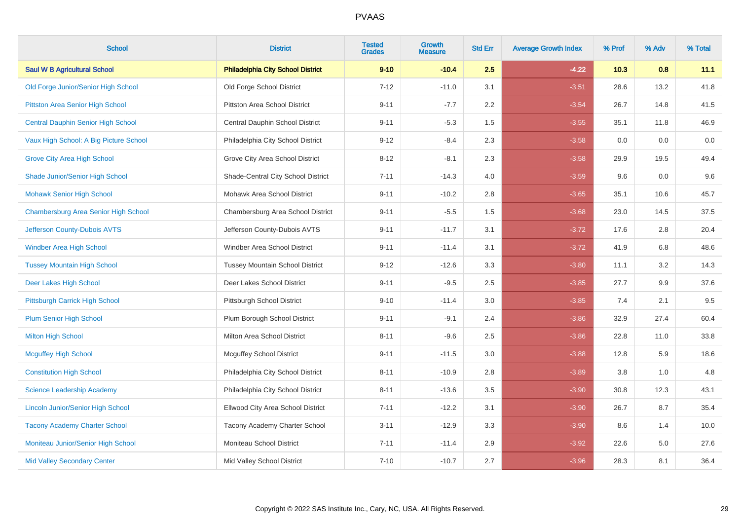| <b>School</b>                             | <b>District</b>                          | <b>Tested</b><br><b>Grades</b> | <b>Growth</b><br><b>Measure</b> | <b>Std Err</b> | <b>Average Growth Index</b> | % Prof | % Adv | % Total |
|-------------------------------------------|------------------------------------------|--------------------------------|---------------------------------|----------------|-----------------------------|--------|-------|---------|
| <b>Saul W B Agricultural School</b>       | <b>Philadelphia City School District</b> | $9 - 10$                       | $-10.4$                         | 2.5            | $-4.22$                     | 10.3   | 0.8   | 11.1    |
| Old Forge Junior/Senior High School       | Old Forge School District                | $7 - 12$                       | $-11.0$                         | 3.1            | $-3.51$                     | 28.6   | 13.2  | 41.8    |
| Pittston Area Senior High School          | Pittston Area School District            | $9 - 11$                       | $-7.7$                          | 2.2            | $-3.54$                     | 26.7   | 14.8  | 41.5    |
| <b>Central Dauphin Senior High School</b> | Central Dauphin School District          | $9 - 11$                       | $-5.3$                          | 1.5            | $-3.55$                     | 35.1   | 11.8  | 46.9    |
| Vaux High School: A Big Picture School    | Philadelphia City School District        | $9 - 12$                       | $-8.4$                          | 2.3            | $-3.58$                     | 0.0    | 0.0   | 0.0     |
| <b>Grove City Area High School</b>        | Grove City Area School District          | $8 - 12$                       | $-8.1$                          | 2.3            | $-3.58$                     | 29.9   | 19.5  | 49.4    |
| Shade Junior/Senior High School           | Shade-Central City School District       | $7 - 11$                       | $-14.3$                         | 4.0            | $-3.59$                     | 9.6    | 0.0   | 9.6     |
| <b>Mohawk Senior High School</b>          | Mohawk Area School District              | $9 - 11$                       | $-10.2$                         | 2.8            | $-3.65$                     | 35.1   | 10.6  | 45.7    |
| Chambersburg Area Senior High School      | Chambersburg Area School District        | $9 - 11$                       | $-5.5$                          | 1.5            | $-3.68$                     | 23.0   | 14.5  | 37.5    |
| Jefferson County-Dubois AVTS              | Jefferson County-Dubois AVTS             | $9 - 11$                       | $-11.7$                         | 3.1            | $-3.72$                     | 17.6   | 2.8   | 20.4    |
| <b>Windber Area High School</b>           | Windber Area School District             | $9 - 11$                       | $-11.4$                         | 3.1            | $-3.72$                     | 41.9   | 6.8   | 48.6    |
| <b>Tussey Mountain High School</b>        | <b>Tussey Mountain School District</b>   | $9 - 12$                       | $-12.6$                         | 3.3            | $-3.80$                     | 11.1   | 3.2   | 14.3    |
| Deer Lakes High School                    | Deer Lakes School District               | $9 - 11$                       | $-9.5$                          | 2.5            | $-3.85$                     | 27.7   | 9.9   | 37.6    |
| Pittsburgh Carrick High School            | Pittsburgh School District               | $9 - 10$                       | $-11.4$                         | 3.0            | $-3.85$                     | 7.4    | 2.1   | 9.5     |
| Plum Senior High School                   | Plum Borough School District             | $9 - 11$                       | $-9.1$                          | 2.4            | $-3.86$                     | 32.9   | 27.4  | 60.4    |
| <b>Milton High School</b>                 | <b>Milton Area School District</b>       | $8 - 11$                       | $-9.6$                          | 2.5            | $-3.86$                     | 22.8   | 11.0  | 33.8    |
| <b>Mcguffey High School</b>               | <b>Mcguffey School District</b>          | $9 - 11$                       | $-11.5$                         | 3.0            | $-3.88$                     | 12.8   | 5.9   | 18.6    |
| <b>Constitution High School</b>           | Philadelphia City School District        | $8 - 11$                       | $-10.9$                         | 2.8            | $-3.89$                     | 3.8    | 1.0   | 4.8     |
| Science Leadership Academy                | Philadelphia City School District        | $8 - 11$                       | $-13.6$                         | 3.5            | $-3.90$                     | 30.8   | 12.3  | 43.1    |
| <b>Lincoln Junior/Senior High School</b>  | Ellwood City Area School District        | $7 - 11$                       | $-12.2$                         | 3.1            | $-3.90$                     | 26.7   | 8.7   | 35.4    |
| <b>Tacony Academy Charter School</b>      | Tacony Academy Charter School            | $3 - 11$                       | $-12.9$                         | 3.3            | $-3.90$                     | 8.6    | 1.4   | 10.0    |
| Moniteau Junior/Senior High School        | Moniteau School District                 | $7 - 11$                       | $-11.4$                         | 2.9            | $-3.92$                     | 22.6   | 5.0   | 27.6    |
| <b>Mid Valley Secondary Center</b>        | Mid Valley School District               | $7 - 10$                       | $-10.7$                         | 2.7            | $-3.96$                     | 28.3   | 8.1   | 36.4    |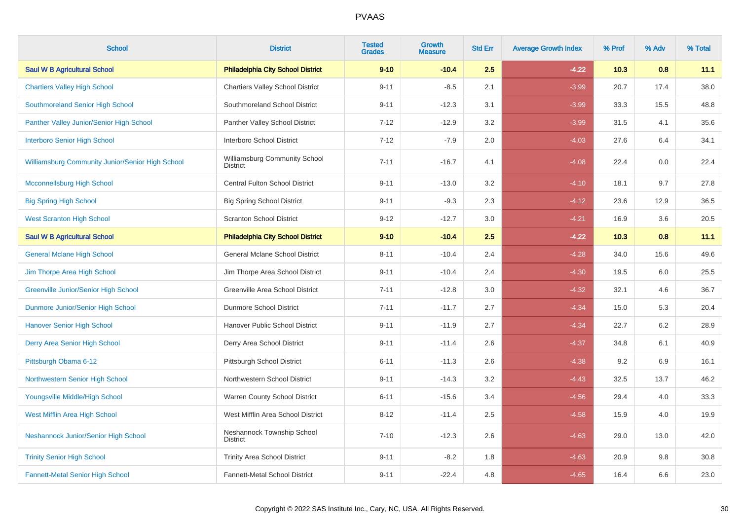| <b>School</b>                                    | <b>District</b>                                  | <b>Tested</b><br><b>Grades</b> | Growth<br><b>Measure</b> | <b>Std Err</b> | <b>Average Growth Index</b> | % Prof | % Adv | % Total |
|--------------------------------------------------|--------------------------------------------------|--------------------------------|--------------------------|----------------|-----------------------------|--------|-------|---------|
| <b>Saul W B Agricultural School</b>              | <b>Philadelphia City School District</b>         | $9 - 10$                       | $-10.4$                  | 2.5            | $-4.22$                     | 10.3   | 0.8   | 11.1    |
| <b>Chartiers Valley High School</b>              | <b>Chartiers Valley School District</b>          | $9 - 11$                       | $-8.5$                   | 2.1            | $-3.99$                     | 20.7   | 17.4  | 38.0    |
| Southmoreland Senior High School                 | Southmoreland School District                    | $9 - 11$                       | $-12.3$                  | 3.1            | $-3.99$                     | 33.3   | 15.5  | 48.8    |
| Panther Valley Junior/Senior High School         | Panther Valley School District                   | $7 - 12$                       | $-12.9$                  | 3.2            | $-3.99$                     | 31.5   | 4.1   | 35.6    |
| <b>Interboro Senior High School</b>              | <b>Interboro School District</b>                 | $7 - 12$                       | $-7.9$                   | 2.0            | $-4.03$                     | 27.6   | 6.4   | 34.1    |
| Williamsburg Community Junior/Senior High School | Williamsburg Community School<br><b>District</b> | $7 - 11$                       | $-16.7$                  | 4.1            | $-4.08$                     | 22.4   | 0.0   | 22.4    |
| <b>Mcconnellsburg High School</b>                | <b>Central Fulton School District</b>            | $9 - 11$                       | $-13.0$                  | 3.2            | $-4.10$                     | 18.1   | 9.7   | 27.8    |
| <b>Big Spring High School</b>                    | <b>Big Spring School District</b>                | $9 - 11$                       | $-9.3$                   | 2.3            | $-4.12$                     | 23.6   | 12.9  | 36.5    |
| <b>West Scranton High School</b>                 | <b>Scranton School District</b>                  | $9 - 12$                       | $-12.7$                  | 3.0            | $-4.21$                     | 16.9   | 3.6   | 20.5    |
| <b>Saul W B Agricultural School</b>              | <b>Philadelphia City School District</b>         | $9 - 10$                       | $-10.4$                  | 2.5            | $-4.22$                     | 10.3   | 0.8   | 11.1    |
| <b>General Mclane High School</b>                | <b>General Mclane School District</b>            | $8 - 11$                       | $-10.4$                  | 2.4            | $-4.28$                     | 34.0   | 15.6  | 49.6    |
| Jim Thorpe Area High School                      | Jim Thorpe Area School District                  | $9 - 11$                       | $-10.4$                  | 2.4            | $-4.30$                     | 19.5   | 6.0   | 25.5    |
| <b>Greenville Junior/Senior High School</b>      | Greenville Area School District                  | $7 - 11$                       | $-12.8$                  | 3.0            | $-4.32$                     | 32.1   | 4.6   | 36.7    |
| Dunmore Junior/Senior High School                | <b>Dunmore School District</b>                   | $7 - 11$                       | $-11.7$                  | 2.7            | $-4.34$                     | 15.0   | 5.3   | 20.4    |
| Hanover Senior High School                       | Hanover Public School District                   | $9 - 11$                       | $-11.9$                  | 2.7            | $-4.34$                     | 22.7   | 6.2   | 28.9    |
| Derry Area Senior High School                    | Derry Area School District                       | $9 - 11$                       | $-11.4$                  | 2.6            | $-4.37$                     | 34.8   | 6.1   | 40.9    |
| Pittsburgh Obama 6-12                            | Pittsburgh School District                       | $6 - 11$                       | $-11.3$                  | 2.6            | $-4.38$                     | 9.2    | 6.9   | 16.1    |
| Northwestern Senior High School                  | Northwestern School District                     | $9 - 11$                       | $-14.3$                  | 3.2            | $-4.43$                     | 32.5   | 13.7  | 46.2    |
| Youngsville Middle/High School                   | Warren County School District                    | $6 - 11$                       | $-15.6$                  | 3.4            | $-4.56$                     | 29.4   | 4.0   | 33.3    |
| West Mifflin Area High School                    | West Mifflin Area School District                | $8 - 12$                       | $-11.4$                  | 2.5            | $-4.58$                     | 15.9   | 4.0   | 19.9    |
| Neshannock Junior/Senior High School             | Neshannock Township School<br><b>District</b>    | $7 - 10$                       | $-12.3$                  | 2.6            | $-4.63$                     | 29.0   | 13.0  | 42.0    |
| <b>Trinity Senior High School</b>                | <b>Trinity Area School District</b>              | $9 - 11$                       | $-8.2$                   | 1.8            | $-4.63$                     | 20.9   | 9.8   | 30.8    |
| <b>Fannett-Metal Senior High School</b>          | <b>Fannett-Metal School District</b>             | $9 - 11$                       | $-22.4$                  | 4.8            | $-4.65$                     | 16.4   | 6.6   | 23.0    |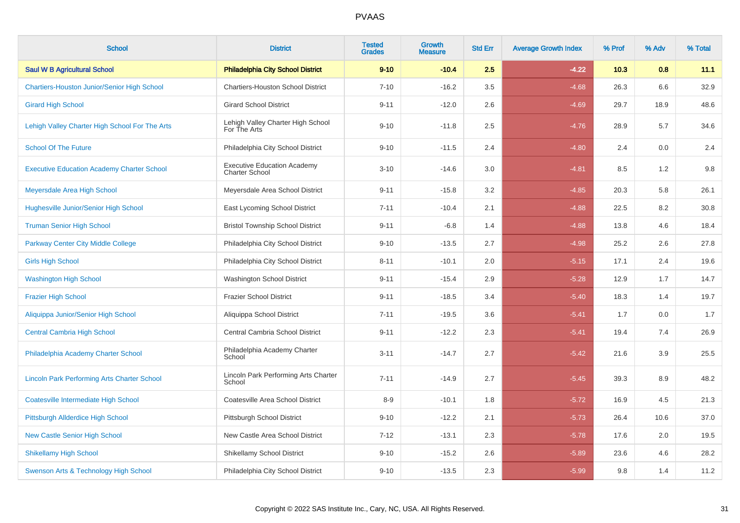| <b>School</b>                                      | <b>District</b>                                             | <b>Tested</b><br><b>Grades</b> | <b>Growth</b><br><b>Measure</b> | <b>Std Err</b> | <b>Average Growth Index</b> | % Prof | % Adv | % Total |
|----------------------------------------------------|-------------------------------------------------------------|--------------------------------|---------------------------------|----------------|-----------------------------|--------|-------|---------|
| <b>Saul W B Agricultural School</b>                | <b>Philadelphia City School District</b>                    | $9 - 10$                       | $-10.4$                         | 2.5            | $-4.22$                     | 10.3   | 0.8   | 11.1    |
| <b>Chartiers-Houston Junior/Senior High School</b> | <b>Chartiers-Houston School District</b>                    | $7 - 10$                       | $-16.2$                         | 3.5            | $-4.68$                     | 26.3   | 6.6   | 32.9    |
| <b>Girard High School</b>                          | <b>Girard School District</b>                               | $9 - 11$                       | $-12.0$                         | 2.6            | $-4.69$                     | 29.7   | 18.9  | 48.6    |
| Lehigh Valley Charter High School For The Arts     | Lehigh Valley Charter High School<br>For The Arts           | $9 - 10$                       | $-11.8$                         | 2.5            | $-4.76$                     | 28.9   | 5.7   | 34.6    |
| <b>School Of The Future</b>                        | Philadelphia City School District                           | $9 - 10$                       | $-11.5$                         | 2.4            | $-4.80$                     | 2.4    | 0.0   | 2.4     |
| <b>Executive Education Academy Charter School</b>  | <b>Executive Education Academy</b><br><b>Charter School</b> | $3 - 10$                       | $-14.6$                         | $3.0\,$        | $-4.81$                     | 8.5    | 1.2   | $9.8\,$ |
| Meyersdale Area High School                        | Meyersdale Area School District                             | $9 - 11$                       | $-15.8$                         | 3.2            | $-4.85$                     | 20.3   | 5.8   | 26.1    |
| Hughesville Junior/Senior High School              | East Lycoming School District                               | $7 - 11$                       | $-10.4$                         | 2.1            | $-4.88$                     | 22.5   | 8.2   | 30.8    |
| <b>Truman Senior High School</b>                   | <b>Bristol Township School District</b>                     | $9 - 11$                       | $-6.8$                          | 1.4            | $-4.88$                     | 13.8   | 4.6   | 18.4    |
| <b>Parkway Center City Middle College</b>          | Philadelphia City School District                           | $9 - 10$                       | $-13.5$                         | 2.7            | $-4.98$                     | 25.2   | 2.6   | 27.8    |
| <b>Girls High School</b>                           | Philadelphia City School District                           | $8 - 11$                       | $-10.1$                         | 2.0            | $-5.15$                     | 17.1   | 2.4   | 19.6    |
| <b>Washington High School</b>                      | <b>Washington School District</b>                           | $9 - 11$                       | $-15.4$                         | 2.9            | $-5.28$                     | 12.9   | 1.7   | 14.7    |
| <b>Frazier High School</b>                         | <b>Frazier School District</b>                              | $9 - 11$                       | $-18.5$                         | 3.4            | $-5.40$                     | 18.3   | 1.4   | 19.7    |
| Aliquippa Junior/Senior High School                | Aliquippa School District                                   | $7 - 11$                       | $-19.5$                         | 3.6            | $-5.41$                     | 1.7    | 0.0   | 1.7     |
| <b>Central Cambria High School</b>                 | Central Cambria School District                             | $9 - 11$                       | $-12.2$                         | 2.3            | $-5.41$                     | 19.4   | 7.4   | 26.9    |
| Philadelphia Academy Charter School                | Philadelphia Academy Charter<br>School                      | $3 - 11$                       | $-14.7$                         | 2.7            | $-5.42$                     | 21.6   | 3.9   | 25.5    |
| <b>Lincoln Park Performing Arts Charter School</b> | Lincoln Park Performing Arts Charter<br>School              | $7 - 11$                       | $-14.9$                         | 2.7            | $-5.45$                     | 39.3   | 8.9   | 48.2    |
| <b>Coatesville Intermediate High School</b>        | Coatesville Area School District                            | $8-9$                          | $-10.1$                         | 1.8            | $-5.72$                     | 16.9   | 4.5   | 21.3    |
| Pittsburgh Allderdice High School                  | Pittsburgh School District                                  | $9 - 10$                       | $-12.2$                         | 2.1            | $-5.73$                     | 26.4   | 10.6  | 37.0    |
| <b>New Castle Senior High School</b>               | New Castle Area School District                             | $7 - 12$                       | $-13.1$                         | 2.3            | $-5.78$                     | 17.6   | 2.0   | 19.5    |
| <b>Shikellamy High School</b>                      | <b>Shikellamy School District</b>                           | $9 - 10$                       | $-15.2$                         | 2.6            | $-5.89$                     | 23.6   | 4.6   | 28.2    |
| Swenson Arts & Technology High School              | Philadelphia City School District                           | $9 - 10$                       | $-13.5$                         | 2.3            | $-5.99$                     | 9.8    | 1.4   | 11.2    |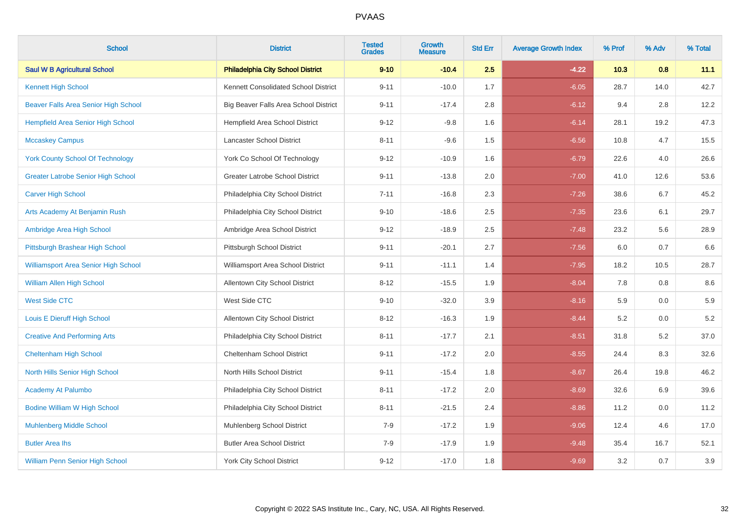| <b>School</b>                               | <b>District</b>                          | <b>Tested</b><br><b>Grades</b> | <b>Growth</b><br><b>Measure</b> | <b>Std Err</b> | <b>Average Growth Index</b> | % Prof | % Adv | % Total |
|---------------------------------------------|------------------------------------------|--------------------------------|---------------------------------|----------------|-----------------------------|--------|-------|---------|
| <b>Saul W B Agricultural School</b>         | <b>Philadelphia City School District</b> | $9 - 10$                       | $-10.4$                         | 2.5            | $-4.22$                     | 10.3   | 0.8   | 11.1    |
| Kennett High School                         | Kennett Consolidated School District     | $9 - 11$                       | $-10.0$                         | 1.7            | $-6.05$                     | 28.7   | 14.0  | 42.7    |
| Beaver Falls Area Senior High School        | Big Beaver Falls Area School District    | $9 - 11$                       | $-17.4$                         | 2.8            | $-6.12$                     | 9.4    | 2.8   | 12.2    |
| <b>Hempfield Area Senior High School</b>    | Hempfield Area School District           | $9 - 12$                       | $-9.8$                          | 1.6            | $-6.14$                     | 28.1   | 19.2  | 47.3    |
| <b>Mccaskey Campus</b>                      | Lancaster School District                | $8 - 11$                       | $-9.6$                          | 1.5            | $-6.56$                     | 10.8   | 4.7   | 15.5    |
| <b>York County School Of Technology</b>     | York Co School Of Technology             | $9 - 12$                       | $-10.9$                         | 1.6            | $-6.79$                     | 22.6   | 4.0   | 26.6    |
| <b>Greater Latrobe Senior High School</b>   | Greater Latrobe School District          | $9 - 11$                       | $-13.8$                         | 2.0            | $-7.00$                     | 41.0   | 12.6  | 53.6    |
| <b>Carver High School</b>                   | Philadelphia City School District        | $7 - 11$                       | $-16.8$                         | 2.3            | $-7.26$                     | 38.6   | 6.7   | 45.2    |
| Arts Academy At Benjamin Rush               | Philadelphia City School District        | $9 - 10$                       | $-18.6$                         | 2.5            | $-7.35$                     | 23.6   | 6.1   | 29.7    |
| Ambridge Area High School                   | Ambridge Area School District            | $9 - 12$                       | $-18.9$                         | 2.5            | $-7.48$                     | 23.2   | 5.6   | 28.9    |
| Pittsburgh Brashear High School             | Pittsburgh School District               | $9 - 11$                       | $-20.1$                         | 2.7            | $-7.56$                     | 6.0    | 0.7   | 6.6     |
| <b>Williamsport Area Senior High School</b> | Williamsport Area School District        | $9 - 11$                       | $-11.1$                         | 1.4            | $-7.95$                     | 18.2   | 10.5  | 28.7    |
| <b>William Allen High School</b>            | Allentown City School District           | $8 - 12$                       | $-15.5$                         | 1.9            | $-8.04$                     | 7.8    | 0.8   | $8.6\,$ |
| <b>West Side CTC</b>                        | West Side CTC                            | $9 - 10$                       | $-32.0$                         | 3.9            | $-8.16$                     | 5.9    | 0.0   | 5.9     |
| Louis E Dieruff High School                 | <b>Allentown City School District</b>    | $8 - 12$                       | $-16.3$                         | 1.9            | $-8.44$                     | 5.2    | 0.0   | $5.2\,$ |
| <b>Creative And Performing Arts</b>         | Philadelphia City School District        | $8 - 11$                       | $-17.7$                         | 2.1            | $-8.51$                     | 31.8   | 5.2   | 37.0    |
| <b>Cheltenham High School</b>               | Cheltenham School District               | $9 - 11$                       | $-17.2$                         | $2.0\,$        | $-8.55$                     | 24.4   | 8.3   | 32.6    |
| North Hills Senior High School              | North Hills School District              | $9 - 11$                       | $-15.4$                         | 1.8            | $-8.67$                     | 26.4   | 19.8  | 46.2    |
| <b>Academy At Palumbo</b>                   | Philadelphia City School District        | $8 - 11$                       | $-17.2$                         | 2.0            | $-8.69$                     | 32.6   | 6.9   | 39.6    |
| <b>Bodine William W High School</b>         | Philadelphia City School District        | $8 - 11$                       | $-21.5$                         | 2.4            | $-8.86$                     | 11.2   | 0.0   | 11.2    |
| <b>Muhlenberg Middle School</b>             | Muhlenberg School District               | $7-9$                          | $-17.2$                         | 1.9            | $-9.06$                     | 12.4   | 4.6   | 17.0    |
| <b>Butler Area lhs</b>                      | <b>Butler Area School District</b>       | $7-9$                          | $-17.9$                         | 1.9            | $-9.48$                     | 35.4   | 16.7  | 52.1    |
| <b>William Penn Senior High School</b>      | <b>York City School District</b>         | $9 - 12$                       | $-17.0$                         | 1.8            | $-9.69$                     | 3.2    | 0.7   | $3.9\,$ |